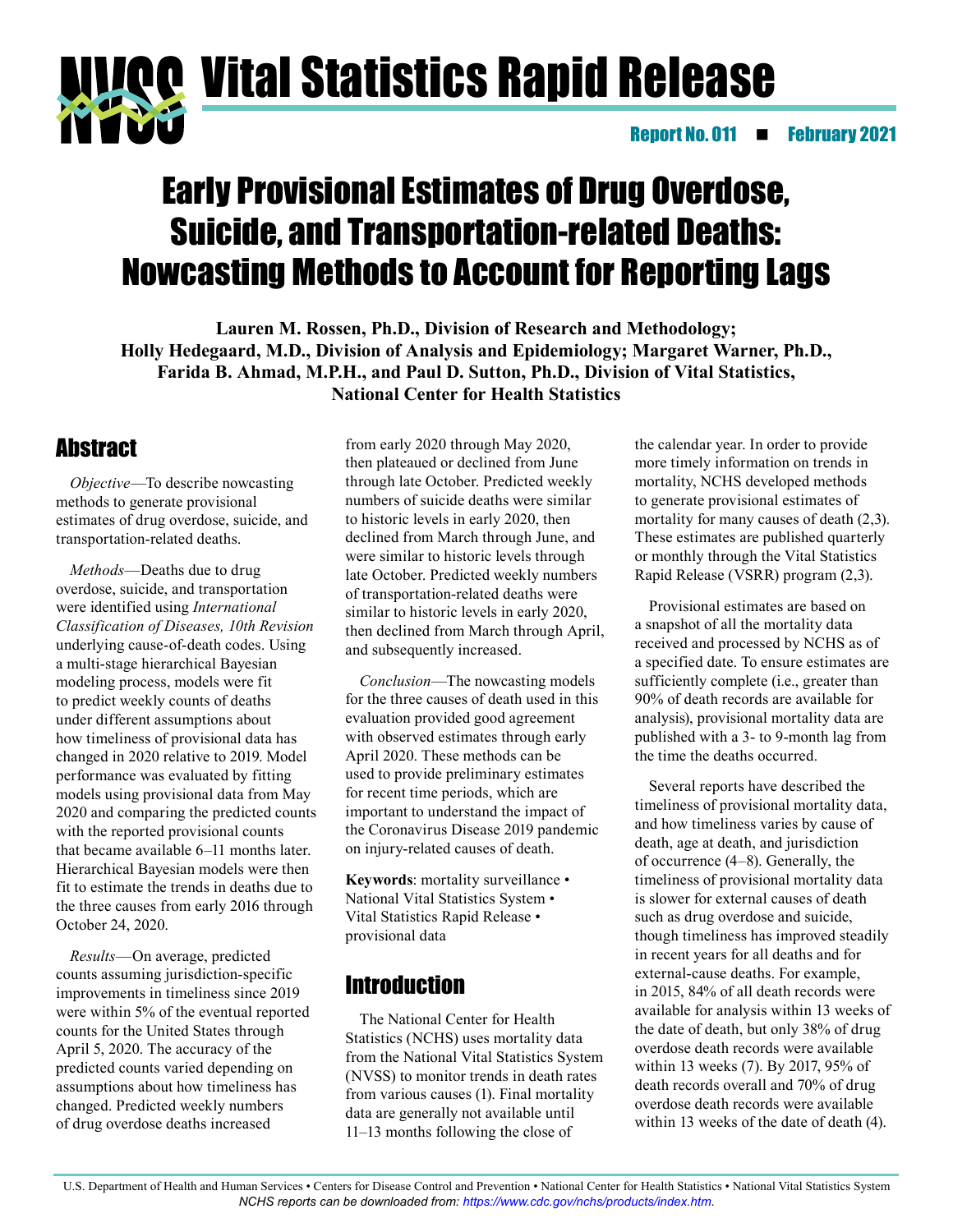

# Early Provisional Estimates of Drug Overdose, Suicide, and Transportation-related Deaths: Nowcasting Methods to Account for Reporting Lags

**Lauren M. Rossen, Ph.D., Division of Research and Methodology; Holly Hedegaard, M.D., Division of Analysis and Epidemiology; Margaret Warner, Ph.D., Farida B. Ahmad, M.P.H., and Paul D. Sutton, Ph.D., Division of Vital Statistics, National Center for Health Statistics**

# **Abstract**

*Objective*—To describe nowcasting methods to generate provisional estimates of drug overdose, suicide, and transportation-related deaths.

*Methods*—Deaths due to drug overdose, suicide, and transportation were identified using *International Classification of Diseases, 10th Revision* underlying cause-of-death codes. Using a multi-stage hierarchical Bayesian modeling process, models were fit to predict weekly counts of deaths under different assumptions about how timeliness of provisional data has changed in 2020 relative to 2019. Model performance was evaluated by fitting models using provisional data from May 2020 and comparing the predicted counts with the reported provisional counts that became available 6—11 months later. Hierarchical Bayesian models were then fit to estimate the trends in deaths due to the three causes from early 2016 through October 24, 2020.

*Results*—On average, predicted counts assuming jurisdiction-specific improvements in timeliness since 2019 were within 5% of the eventual reported counts for the United States through April 5, 2020. The accuracy of the predicted counts varied depending on assumptions about how timeliness has changed. Predicted weekly numbers of drug overdose deaths increased

from early 2020 through May 2020, then plateaued or declined from June through late October. Predicted weekly numbers of suicide deaths were similar to historic levels in early 2020, then declined from March through June, and were similar to historic levels through late October. Predicted weekly numbers of transportation-related deaths were similar to historic levels in early 2020, then declined from March through April, and subsequently increased.

*Conclusion*—The nowcasting models for the three causes of death used in this evaluation provided good agreement with observed estimates through early April 2020. These methods can be used to provide preliminary estimates for recent time periods, which are important to understand the impact of the Coronavirus Disease 2019 pandemic on injury-related causes of death.

**Keywords**: mortality surveillance • National Vital Statistics System • Vital Statistics Rapid Release • provisional data

# **Introduction**

The National Center for Health Statistics (NCHS) uses mortality data from the National Vital Statistics System (NVSS) to monitor trends in death rates from various causes (1). Final mortality data are generally not available until 11—13 months following the close of

the calendar year. In order to provide more timely information on trends in mortality, NCHS developed methods to generate provisional estimates of mortality for many causes of death  $(2,3)$ . These estimates are published quarterly or monthly through the Vital Statistics Rapid Release (VSRR) program (2,3).

Provisional estimates are based on a snapshot of all the mortality data received and processed by NCHS as of a specified date. To ensure estimates are sufficiently complete (i.e., greater than 90% of death records are available for analysis), provisional mortality data are published with a 3- to 9-month lag from the time the deaths occurred.

Several reports have described the timeliness of provisional mortality data, and how timeliness varies by cause of death, age at death, and jurisdiction of occurrence (4—8). Generally, the timeliness of provisional mortality data is slower for external causes of death such as drug overdose and suicide, though timeliness has improved steadily in recent years for all deaths and for external-cause deaths. For example, in 2015, 84% of all death records were available for analysis within 13 weeks of the date of death, but only 38% of drug overdose death records were available within 13 weeks (7). By 2017, 95% of death records overall and 70% of drug overdose death records were available within 13 weeks of the date of death (4).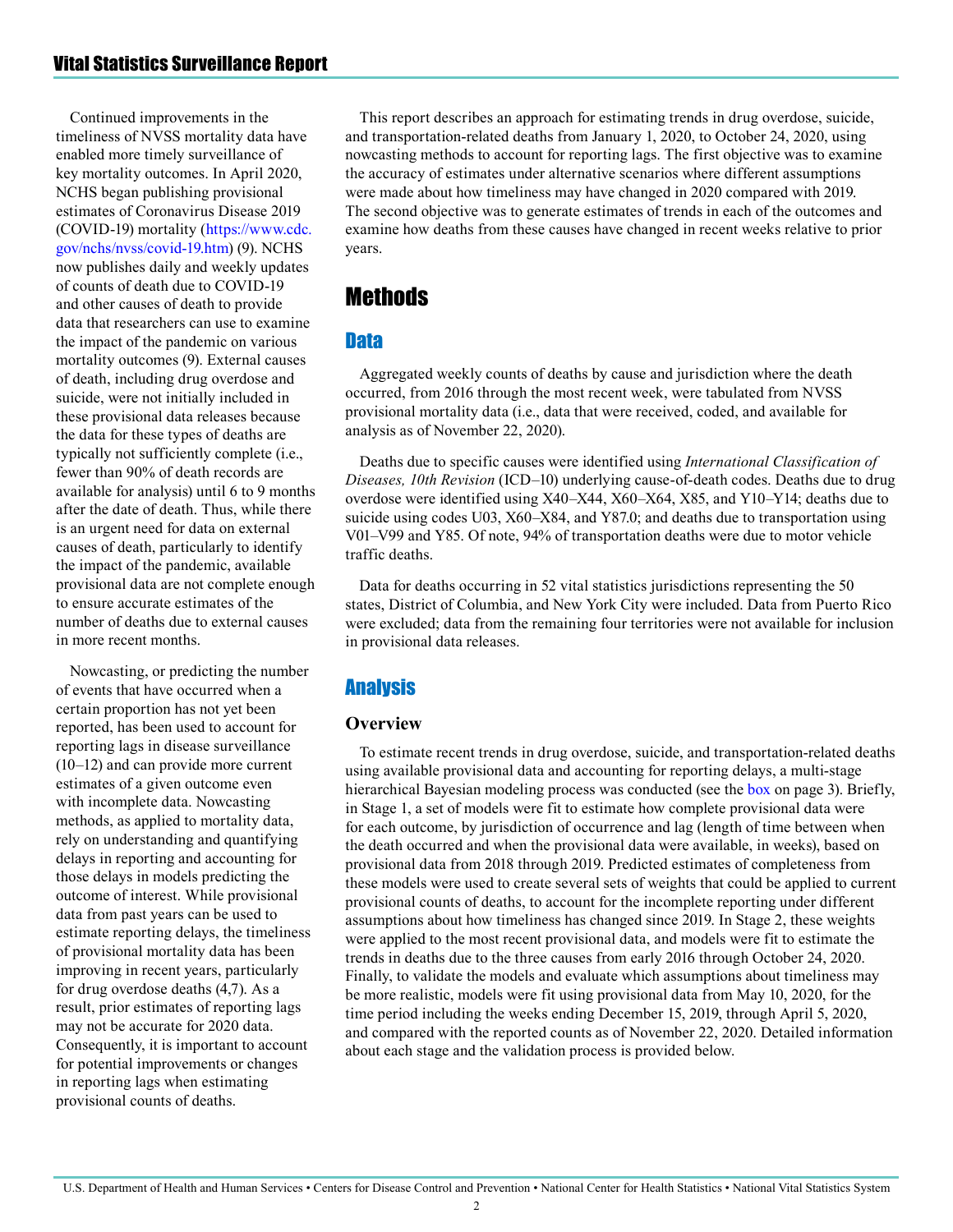Continued improvements in the timeliness of NVSS mortality data have enabled more timely surveillance of key mortality outcomes. In April 2020, NCHS began publishing provisional estimates of Coronavirus Disease 2019 (COVID-19) mortality [\(https://www.cdc.](https://www.cdc.gov/nchs/nvss/covid-19.htm) [gov/nchs/nvss/covid-19.htm\)](https://www.cdc.gov/nchs/nvss/covid-19.htm) (9). NCHS now publishes daily and weekly updates of counts of death due to COVID-19 and other causes of death to provide data that researchers can use to examine the impact of the pandemic on various mortality outcomes (9). External causes of death, including drug overdose and suicide, were not initially included in these provisional data releases because the data for these types of deaths are typically not sufficiently complete (i.e., fewer than 90% of death records are available for analysis) until 6 to 9 months after the date of death. Thus, while there is an urgent need for data on external causes of death, particularly to identify the impact of the pandemic, available provisional data are not complete enough to ensure accurate estimates of the number of deaths due to external causes in more recent months.

Nowcasting, or predicting the number of events that have occurred when a certain proportion has not yet been reported, has been used to account for reporting lags in disease surveillance (10—12) and can provide more current estimates of a given outcome even with incomplete data. Nowcasting methods, as applied to mortality data, rely on understanding and quantifying delays in reporting and accounting for those delays in models predicting the outcome of interest. While provisional data from past years can be used to estimate reporting delays, the timeliness of provisional mortality data has been improving in recent years, particularly for drug overdose deaths (4,7). As a result, prior estimates of reporting lags may not be accurate for 2020 data. Consequently, it is important to account for potential improvements or changes in reporting lags when estimating provisional counts of deaths.

This report describes an approach for estimating trends in drug overdose, suicide, and transportation-related deaths from January 1, 2020, to October 24, 2020, using nowcasting methods to account for reporting lags. The first objective was to examine the accuracy of estimates under alternative scenarios where different assumptions were made about how timeliness may have changed in 2020 compared with 2019. The second objective was to generate estimates of trends in each of the outcomes and examine how deaths from these causes have changed in recent weeks relative to prior years.

# Methods

# **Data**

Aggregated weekly counts of deaths by cause and jurisdiction where the death occurred, from 2016 through the most recent week, were tabulated from NVSS provisional mortality data (i.e., data that were received, coded, and available for analysis as of November 22, 2020).

Deaths due to specific causes were identified using *International Classification of Diseases, 10th Revision* (ICD—10) underlying cause-of-death codes. Deaths due to drug overdose were identified using X40—X44, X60—X64, X85, and Y10—Y14; deaths due to suicide using codes U03, X60—X84, and Y87.0; and deaths due to transportation using V01—V99 and Y85. Of note, 94% of transportation deaths were due to motor vehicle traffic deaths.

Data for deaths occurring in 52 vital statistics jurisdictions representing the 50 states, District of Columbia, and New York City were included. Data from Puerto Rico were excluded; data from the remaining four territories were not available for inclusion in provisional data releases.

# **Analysis**

#### **Overview**

To estimate recent trends in drug overdose, suicide, and transportation-related deaths using available provisional data and accounting for reporting delays, a multi-stage hierarchical Bayesian modeling process was conducted (see the [box o](#page-2-0)n page 3). Briefly, in Stage 1, a set of models were fit to estimate how complete provisional data were for each outcome, by jurisdiction of occurrence and lag (length of time between when the death occurred and when the provisional data were available, in weeks), based on provisional data from 2018 through 2019. Predicted estimates of completeness from these models were used to create several sets of weights that could be applied to current provisional counts of deaths, to account for the incomplete reporting under different assumptions about how timeliness has changed since 2019. In Stage 2, these weights were applied to the most recent provisional data, and models were fit to estimate the trends in deaths due to the three causes from early 2016 through October 24, 2020. Finally, to validate the models and evaluate which assumptions about timeliness may be more realistic, models were fit using provisional data from May 10, 2020, for the time period including the weeks ending December 15, 2019, through April 5, 2020, and compared with the reported counts as of November 22, 2020. Detailed information about each stage and the validation process is provided below.

2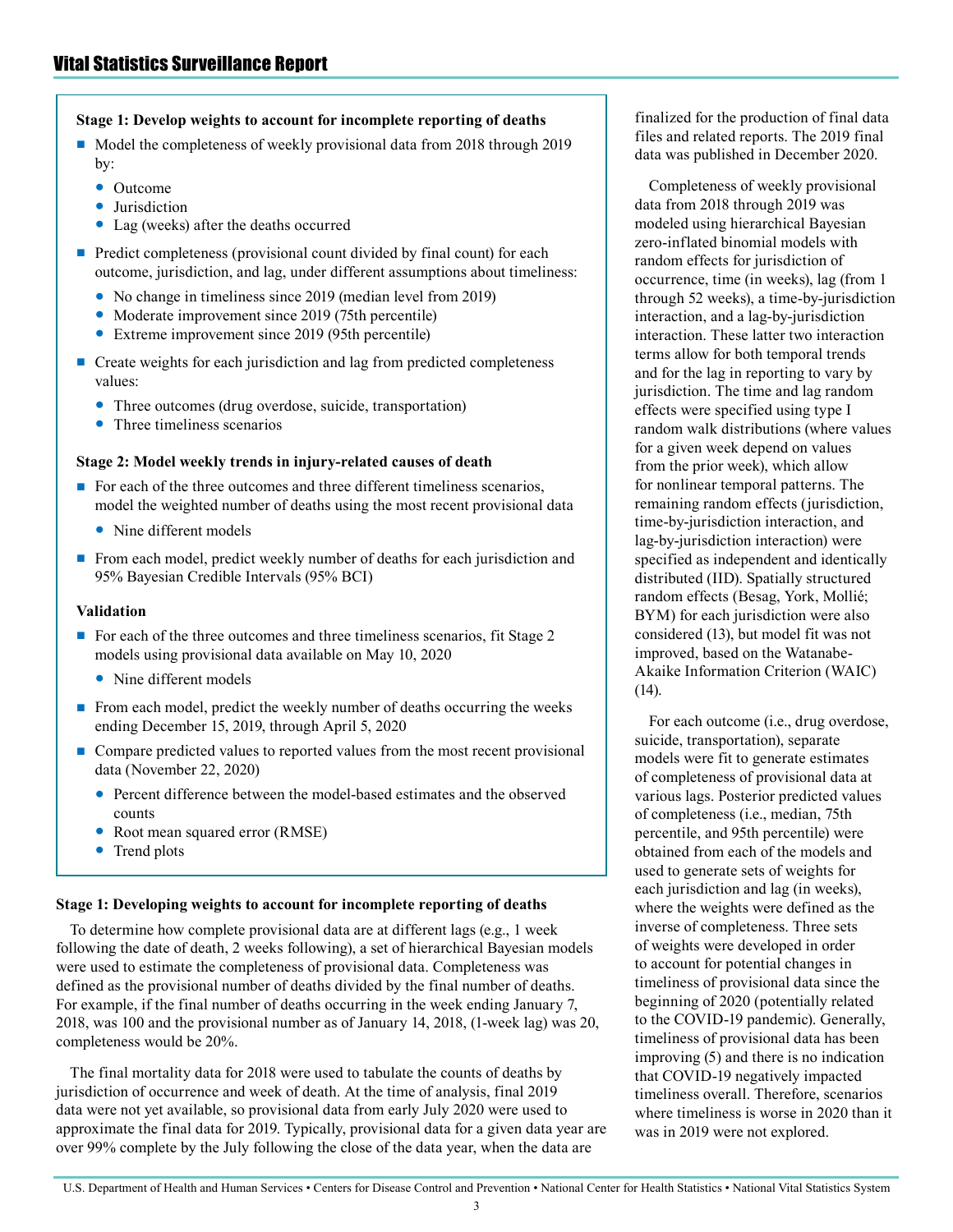#### <span id="page-2-0"></span>**Stage 1: Develop weights to account for incomplete reporting of deaths**

- Model the completeness of weekly provisional data from 2018 through 2019 by:
	- Outcome
	- Jurisdiction
	- Lag (weeks) after the deaths occurred
- Predict completeness (provisional count divided by final count) for each outcome, jurisdiction, and lag, under different assumptions about timeliness:
	- No change in timeliness since 2019 (median level from 2019)
	- Moderate improvement since 2019 (75th percentile)
	- Extreme improvement since 2019 (95th percentile)
- Create weights for each jurisdiction and lag from predicted completeness values:
	- Three outcomes (drug overdose, suicide, transportation)
	- Three timeliness scenarios

#### **Stage 2: Model weekly trends in injury-related causes of death**

- For each of the three outcomes and three different timeliness scenarios, model the weighted number of deaths using the most recent provisional data
	- Nine different models
- From each model, predict weekly number of deaths for each jurisdiction and 95% Bayesian Credible Intervals (95% BCI)

#### **Validation**

- For each of the three outcomes and three timeliness scenarios, fit Stage 2 models using provisional data available on May 10, 2020
	- Nine different models
- From each model, predict the weekly number of deaths occurring the weeks ending December 15, 2019, through April 5, 2020
- Compare predicted values to reported values from the most recent provisional data (November 22, 2020)
	- Percent difference between the model-based estimates and the observed counts
	- Root mean squared error (RMSE)
	- Trend plots

#### **Stage 1: Developing weights to account for incomplete reporting of deaths**

To determine how complete provisional data are at different lags (e.g., 1 week following the date of death, 2 weeks following), a set of hierarchical Bayesian models were used to estimate the completeness of provisional data. Completeness was defined as the provisional number of deaths divided by the final number of deaths. For example, if the final number of deaths occurring in the week ending January 7, 2018, was 100 and the provisional number as of January 14, 2018, (1-week lag) was 20, completeness would be 20%.

The final mortality data for 2018 were used to tabulate the counts of deaths by jurisdiction of occurrence and week of death. At the time of analysis, final 2019 data were not yet available, so provisional data from early July 2020 were used to approximate the final data for 2019. Typically, provisional data for a given data year are over 99% complete by the July following the close of the data year, when the data are

finalized for the production of final data files and related reports. The 2019 final data was published in December 2020.

Completeness of weekly provisional data from 2018 through 2019 was modeled using hierarchical Bayesian zero-inflated binomial models with random effects for jurisdiction of occurrence, time (in weeks), lag (from 1 through 52 weeks), a time-by-jurisdiction interaction, and a lag-by-jurisdiction interaction. These latter two interaction terms allow for both temporal trends and for the lag in reporting to vary by jurisdiction. The time and lag random effects were specified using type I random walk distributions (where values for a given week depend on values from the prior week), which allow for nonlinear temporal patterns. The remaining random effects (jurisdiction, time-by-jurisdiction interaction, and lag-by-jurisdiction interaction) were specified as independent and identically distributed (IID). Spatially structured random effects (Besag, York, Mollié; BYM) for each jurisdiction were also considered (13), but model fit was not improved, based on the Watanabe-Akaike Information Criterion (WAIC) (14).

For each outcome (i.e., drug overdose, suicide, transportation), separate models were fit to generate estimates of completeness of provisional data at various lags. Posterior predicted values of completeness (i.e., median, 75th percentile, and 95th percentile) were obtained from each of the models and used to generate sets of weights for each jurisdiction and lag (in weeks), where the weights were defined as the inverse of completeness. Three sets of weights were developed in order to account for potential changes in timeliness of provisional data since the beginning of 2020 (potentially related to the COVID-19 pandemic). Generally, timeliness of provisional data has been improving (5) and there is no indication that COVID-19 negatively impacted timeliness overall. Therefore, scenarios where timeliness is worse in 2020 than it was in 2019 were not explored.

3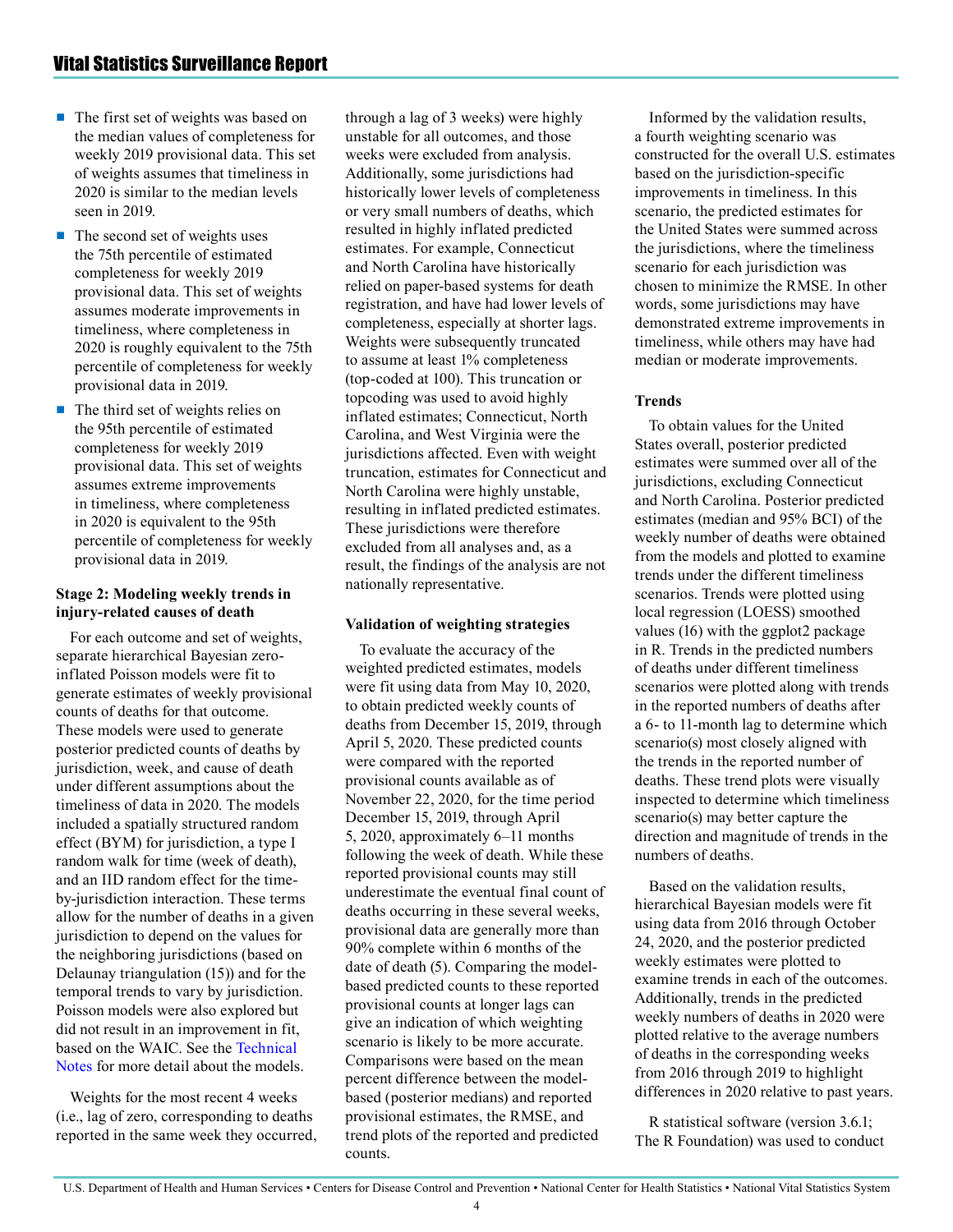- The first set of weights was based on the median values of completeness for weekly 2019 provisional data. This set of weights assumes that timeliness in 2020 is similar to the median levels seen in 2019.
- The second set of weights uses the 75th percentile of estimated completeness for weekly 2019 provisional data. This set of weights assumes moderate improvements in timeliness, where completeness in 2020 is roughly equivalent to the 75th percentile of completeness for weekly provisional data in 2019.
- The third set of weights relies on the 95th percentile of estimated completeness for weekly 2019 provisional data. This set of weights assumes extreme improvements in timeliness, where completeness in 2020 is equivalent to the 95th percentile of completeness for weekly provisional data in 2019.

#### **Stage 2: Modeling weekly trends in injury-related causes of death**

For each outcome and set of weights, separate hierarchical Bayesian zeroinflated Poisson models were fit to generate estimates of weekly provisional counts of deaths for that outcome. These models were used to generate posterior predicted counts of deaths by jurisdiction, week, and cause of death under different assumptions about the timeliness of data in 2020. The models included a spatially structured random effect (BYM) for jurisdiction, a type I random walk for time (week of death), and an IID random effect for the timeby-jurisdiction interaction. These terms allow for the number of deaths in a given jurisdiction to depend on the values for the neighboring jurisdictions (based on Delaunay triangulation (15)) and for the temporal trends to vary by jurisdiction. Poisson models were also explored but did not result in an improvement in fit, based on the WAIC. See the [Technical](#page-13-0)  [Notes](#page-13-0) for more detail about the models.

Weights for the most recent 4 weeks (i.e., lag of zero, corresponding to deaths reported in the same week they occurred,

through a lag of 3 weeks) were highly unstable for all outcomes, and those weeks were excluded from analysis. Additionally, some jurisdictions had historically lower levels of completeness or very small numbers of deaths, which resulted in highly inflated predicted estimates. For example, Connecticut and North Carolina have historically relied on paper-based systems for death registration, and have had lower levels of completeness, especially at shorter lags. Weights were subsequently truncated to assume at least 1% completeness (top-coded at 100). This truncation or topcoding was used to avoid highly inflated estimates; Connecticut, North Carolina, and West Virginia were the jurisdictions affected. Even with weight truncation, estimates for Connecticut and North Carolina were highly unstable, resulting in inflated predicted estimates. These jurisdictions were therefore excluded from all analyses and, as a result, the findings of the analysis are not nationally representative.

#### **Validation of weighting strategies**

To evaluate the accuracy of the weighted predicted estimates, models were fit using data from May 10, 2020, to obtain predicted weekly counts of deaths from December 15, 2019, through April 5, 2020. These predicted counts were compared with the reported provisional counts available as of November 22, 2020, for the time period December 15, 2019, through April 5, 2020, approximately 6—11 months following the week of death. While these reported provisional counts may still underestimate the eventual final count of deaths occurring in these several weeks, provisional data are generally more than 90% complete within 6 months of the date of death (5). Comparing the modelbased predicted counts to these reported provisional counts at longer lags can give an indication of which weighting scenario is likely to be more accurate. Comparisons were based on the mean percent difference between the modelbased (posterior medians) and reported provisional estimates, the RMSE, and trend plots of the reported and predicted counts.

Informed by the validation results, a fourth weighting scenario was constructed for the overall U.S. estimates based on the jurisdiction-specific improvements in timeliness. In this scenario, the predicted estimates for the United States were summed across the jurisdictions, where the timeliness scenario for each jurisdiction was chosen to minimize the RMSE. In other words, some jurisdictions may have demonstrated extreme improvements in timeliness, while others may have had median or moderate improvements.

#### **Trends**

To obtain values for the United States overall, posterior predicted estimates were summed over all of the jurisdictions, excluding Connecticut and North Carolina. Posterior predicted estimates (median and 95% BCI) of the weekly number of deaths were obtained from the models and plotted to examine trends under the different timeliness scenarios. Trends were plotted using local regression (LOESS) smoothed values (16) with the ggplot2 package in R. Trends in the predicted numbers of deaths under different timeliness scenarios were plotted along with trends in the reported numbers of deaths after a 6- to 11-month lag to determine which scenario(s) most closely aligned with the trends in the reported number of deaths. These trend plots were visually inspected to determine which timeliness scenario(s) may better capture the direction and magnitude of trends in the numbers of deaths.

Based on the validation results, hierarchical Bayesian models were fit using data from 2016 through October 24, 2020, and the posterior predicted weekly estimates were plotted to examine trends in each of the outcomes. Additionally, trends in the predicted weekly numbers of deaths in 2020 were plotted relative to the average numbers of deaths in the corresponding weeks from 2016 through 2019 to highlight differences in 2020 relative to past years.

R statistical software (version 3.6.1; The R Foundation) was used to conduct

4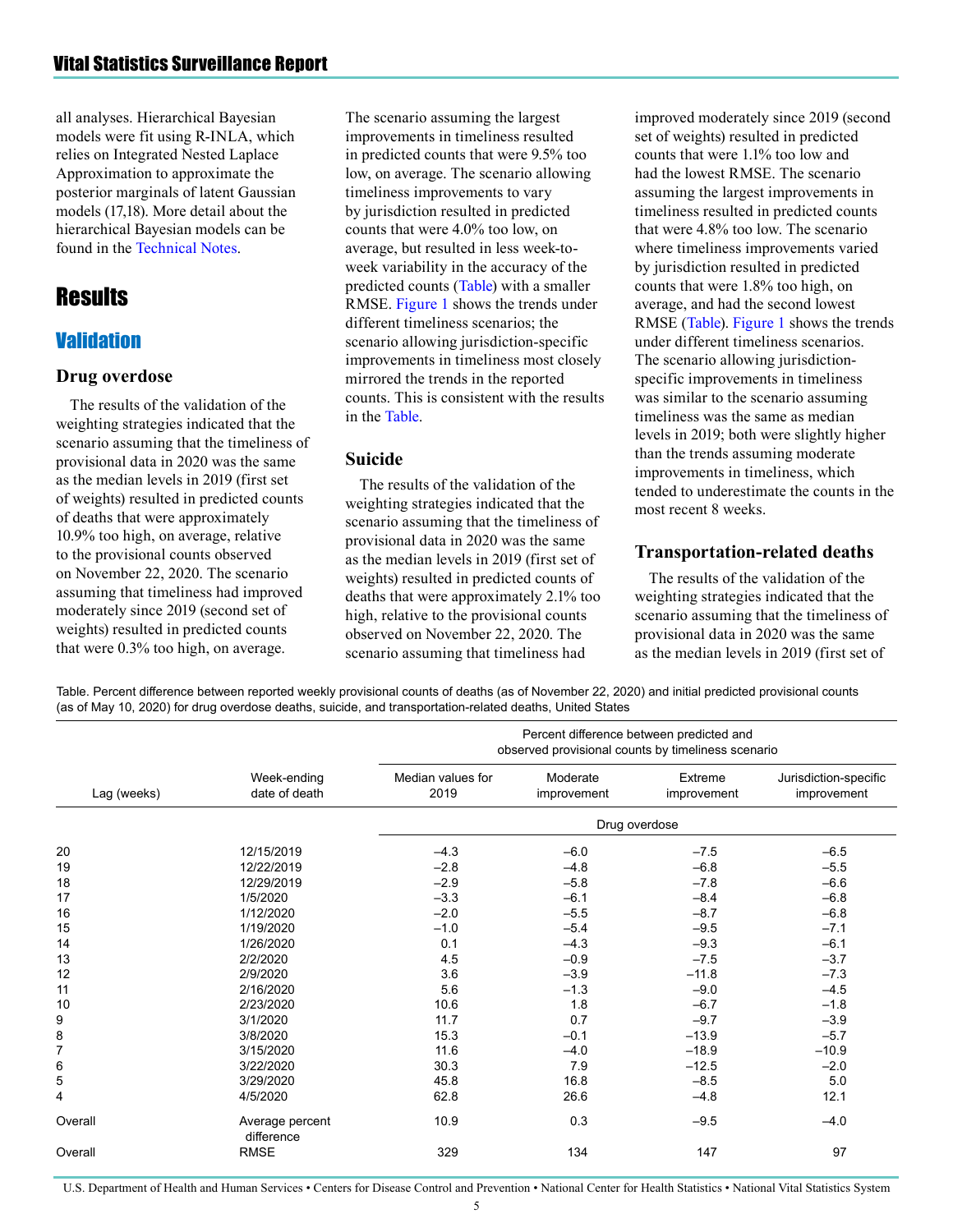<span id="page-4-0"></span>all analyses. Hierarchical Bayesian models were fit using R-INLA, which relies on Integrated Nested Laplace Approximation to approximate the posterior marginals of latent Gaussian models (17,18). More detail about the hierarchical Bayesian models can be found in the [Technical Notes](#page-13-0).

# **Results**

# **Validation**

#### **Drug overdose**

The results of the validation of the weighting strategies indicated that the scenario assuming that the timeliness of provisional data in 2020 was the same as the median levels in 2019 (first set of weights) resulted in predicted counts of deaths that were approximately 10.9% too high, on average, relative to the provisional counts observed on November 22, 2020. The scenario assuming that timeliness had improved moderately since 2019 (second set of weights) resulted in predicted counts that were 0.3% too high, on average.

The scenario assuming the largest improvements in timeliness resulted in predicted counts that were 9.5% too low, on average. The scenario allowing timeliness improvements to vary by jurisdiction resulted in predicted counts that were 4.0% too low, on average, but resulted in less week-toweek variability in the accuracy of the predicted counts (Table) with a smaller RMSE. [Figure 1](#page-6-0) shows the trends under different timeliness scenarios; the scenario allowing jurisdiction-specific improvements in timeliness most closely mirrored the trends in the reported counts. This is consistent with the results in the Table.

#### **Suicide**

The results of the validation of the weighting strategies indicated that the scenario assuming that the timeliness of provisional data in 2020 was the same as the median levels in 2019 (first set of weights) resulted in predicted counts of deaths that were approximately 2.1% too high, relative to the provisional counts observed on November 22, 2020. The scenario assuming that timeliness had

improved moderately since 2019 (second set of weights) resulted in predicted counts that were 1.1% too low and had the lowest RMSE. The scenario assuming the largest improvements in timeliness resulted in predicted counts that were 4.8% too low. The scenario where timeliness improvements varied by jurisdiction resulted in predicted counts that were 1.8% too high, on average, and had the second lowest RMSE (Table). [Figure 1 s](#page-6-0)hows the trends under different timeliness scenarios. The scenario allowing jurisdictionspecific improvements in timeliness was similar to the scenario assuming timeliness was the same as median levels in 2019; both were slightly higher than the trends assuming moderate improvements in timeliness, which tended to underestimate the counts in the most recent 8 weeks.

### **Transportation-related deaths**

The results of the validation of the weighting strategies indicated that the scenario assuming that the timeliness of provisional data in 2020 was the same as the median levels in 2019 (first set of

Table. Percent difference between reported weekly provisional counts of deaths (as of November 22, 2020) and initial predicted provisional counts (as of May 10, 2020) for drug overdose deaths, suicide, and transportation-related deaths, United States

| Lag (weeks)    | Week-ending<br>date of death  | Percent difference between predicted and<br>observed provisional counts by timeliness scenario |                         |                        |                                      |  |  |
|----------------|-------------------------------|------------------------------------------------------------------------------------------------|-------------------------|------------------------|--------------------------------------|--|--|
|                |                               | Median values for<br>2019                                                                      | Moderate<br>improvement | Extreme<br>improvement | Jurisdiction-specific<br>improvement |  |  |
|                |                               | Drug overdose                                                                                  |                         |                        |                                      |  |  |
| 20             | 12/15/2019                    | $-4.3$                                                                                         | $-6.0$                  | $-7.5$                 | $-6.5$                               |  |  |
| 19             | 12/22/2019                    | $-2.8$                                                                                         | $-4.8$                  | $-6.8$                 | $-5.5$                               |  |  |
| 18             | 12/29/2019                    | $-2.9$                                                                                         | $-5.8$                  | $-7.8$                 | $-6.6$                               |  |  |
| 17             | 1/5/2020                      | $-3.3$                                                                                         | $-6.1$                  | $-8.4$                 | $-6.8$                               |  |  |
| 16             | 1/12/2020                     | $-2.0$                                                                                         | $-5.5$                  | $-8.7$                 | $-6.8$                               |  |  |
| 15             | 1/19/2020                     | $-1.0$                                                                                         | $-5.4$                  | $-9.5$                 | $-7.1$                               |  |  |
| 14             | 1/26/2020                     | 0.1                                                                                            | $-4.3$                  | $-9.3$                 | $-6.1$                               |  |  |
| 13             | 2/2/2020                      | 4.5                                                                                            | $-0.9$                  | $-7.5$                 | $-3.7$                               |  |  |
| 12             | 2/9/2020                      | 3.6                                                                                            | $-3.9$                  | $-11.8$                | $-7.3$                               |  |  |
| 11             | 2/16/2020                     | 5.6                                                                                            | $-1.3$                  | $-9.0$                 | $-4.5$                               |  |  |
| 10             | 2/23/2020                     | 10.6                                                                                           | 1.8                     | $-6.7$                 | $-1.8$                               |  |  |
| 9              | 3/1/2020                      | 11.7                                                                                           | 0.7                     | $-9.7$                 | $-3.9$                               |  |  |
| 8              | 3/8/2020                      | 15.3                                                                                           | $-0.1$                  | $-13.9$                | $-5.7$                               |  |  |
| $\overline{7}$ | 3/15/2020                     | 11.6                                                                                           | $-4.0$                  | $-18.9$                | $-10.9$                              |  |  |
| 6              | 3/22/2020                     | 30.3                                                                                           | 7.9                     | $-12.5$                | $-2.0$                               |  |  |
| 5              | 3/29/2020                     | 45.8                                                                                           | 16.8                    | $-8.5$                 | 5.0                                  |  |  |
| 4              | 4/5/2020                      | 62.8                                                                                           | 26.6                    | $-4.8$                 | 12.1                                 |  |  |
| Overall        | Average percent<br>difference | 10.9                                                                                           | 0.3                     | $-9.5$                 | $-4.0$                               |  |  |
| Overall        | <b>RMSE</b>                   | 329                                                                                            | 134                     | 147                    | 97                                   |  |  |

U.S. Department of Health and Human Services • Centers for Disease Control and Prevention • National Center for Health Statistics • National Vital Statistics System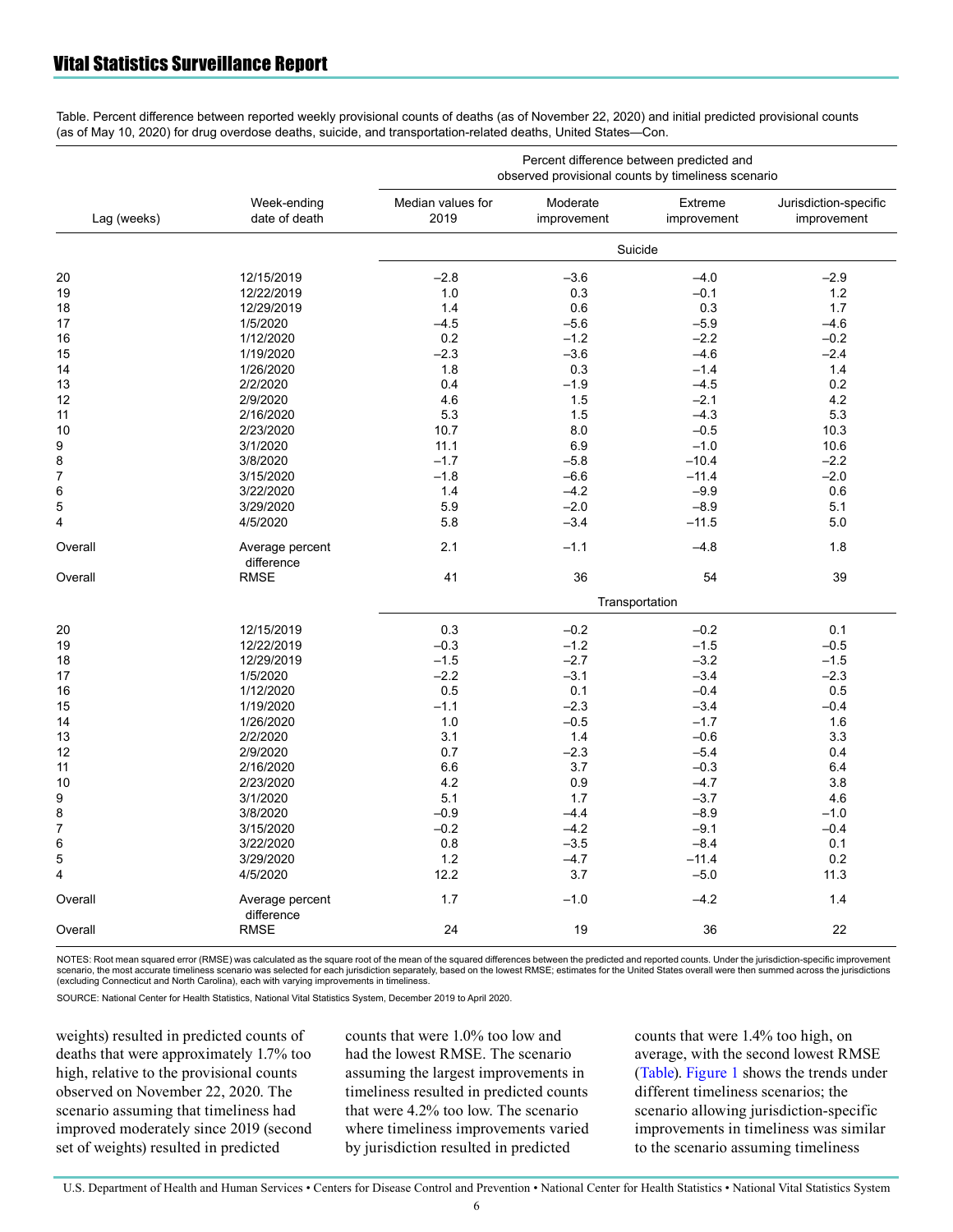Table. Percent difference between reported weekly provisional counts of deaths (as of November 22, 2020) and initial predicted provisional counts (as of May 10, 2020) for drug overdose deaths, suicide, and transportation-related deaths, United States—Con.

| Lag (weeks)    | Week-ending<br>date of death  | Percent difference between predicted and<br>observed provisional counts by timeliness scenario |                         |                        |                                      |  |  |
|----------------|-------------------------------|------------------------------------------------------------------------------------------------|-------------------------|------------------------|--------------------------------------|--|--|
|                |                               | Median values for<br>2019                                                                      | Moderate<br>improvement | Extreme<br>improvement | Jurisdiction-specific<br>improvement |  |  |
|                |                               | Suicide                                                                                        |                         |                        |                                      |  |  |
| 20             | 12/15/2019                    | $-2.8$                                                                                         | $-3.6$                  | $-4.0$                 | $-2.9$                               |  |  |
| 19             | 12/22/2019                    | 1.0                                                                                            | 0.3                     | $-0.1$                 | 1.2                                  |  |  |
| 18             | 12/29/2019                    | 1.4                                                                                            | 0.6                     | 0.3                    | 1.7                                  |  |  |
| 17             | 1/5/2020                      | $-4.5$                                                                                         | $-5.6$                  | $-5.9$                 | $-4.6$                               |  |  |
| 16             | 1/12/2020                     | 0.2                                                                                            | $-1.2$                  | $-2.2$                 | $-0.2$                               |  |  |
| 15             | 1/19/2020                     | $-2.3$                                                                                         | $-3.6$                  | $-4.6$                 | $-2.4$                               |  |  |
| 14             | 1/26/2020                     | 1.8                                                                                            | 0.3                     | $-1.4$                 | 1.4                                  |  |  |
| 13             | 2/2/2020                      | 0.4                                                                                            | $-1.9$                  | $-4.5$                 | 0.2                                  |  |  |
| 12             | 2/9/2020                      | 4.6                                                                                            | 1.5                     | $-2.1$                 | 4.2                                  |  |  |
| 11             | 2/16/2020                     | 5.3                                                                                            | 1.5                     | $-4.3$                 | 5.3                                  |  |  |
| 10             | 2/23/2020                     | 10.7                                                                                           | 8.0                     | $-0.5$                 | 10.3                                 |  |  |
| 9              | 3/1/2020                      | 11.1                                                                                           | 6.9                     | $-1.0$                 | 10.6                                 |  |  |
| 8              | 3/8/2020                      | $-1.7$                                                                                         | $-5.8$                  | $-10.4$                | $-2.2$                               |  |  |
| $\overline{7}$ |                               | $-1.8$                                                                                         | $-6.6$                  | $-11.4$                | $-2.0$                               |  |  |
| $\,6$          | 3/15/2020                     | 1.4                                                                                            | $-4.2$                  |                        |                                      |  |  |
|                | 3/22/2020                     |                                                                                                |                         | $-9.9$                 | 0.6                                  |  |  |
| 5              | 3/29/2020                     | 5.9                                                                                            | $-2.0$                  | $-8.9$                 | 5.1                                  |  |  |
| 4              | 4/5/2020                      | 5.8                                                                                            | $-3.4$                  | $-11.5$                | 5.0                                  |  |  |
| Overall        | Average percent<br>difference | 2.1                                                                                            | $-1.1$                  | $-4.8$                 | 1.8                                  |  |  |
|                | <b>RMSE</b>                   | 41                                                                                             | 36                      | 54                     | 39                                   |  |  |
| Overall        |                               |                                                                                                |                         |                        |                                      |  |  |
|                |                               | Transportation                                                                                 |                         |                        |                                      |  |  |
| 20             | 12/15/2019                    | 0.3                                                                                            | $-0.2$                  | $-0.2$                 | 0.1                                  |  |  |
| 19             | 12/22/2019                    | $-0.3$                                                                                         | $-1.2$                  | $-1.5$                 | $-0.5$                               |  |  |
| 18             | 12/29/2019                    | $-1.5$                                                                                         | $-2.7$                  | $-3.2$                 | $-1.5$                               |  |  |
| 17             | 1/5/2020                      | $-2.2$                                                                                         | $-3.1$                  | $-3.4$                 | $-2.3$                               |  |  |
| 16             | 1/12/2020                     | 0.5                                                                                            | 0.1                     | $-0.4$                 | 0.5                                  |  |  |
| 15             | 1/19/2020                     | $-1.1$                                                                                         | $-2.3$                  | $-3.4$                 | $-0.4$                               |  |  |
| 14             | 1/26/2020                     | 1.0                                                                                            | $-0.5$                  | $-1.7$                 | 1.6                                  |  |  |
| 13             | 2/2/2020                      | 3.1                                                                                            | 1.4                     | $-0.6$                 | 3.3                                  |  |  |
| 12             | 2/9/2020                      | 0.7                                                                                            | $-2.3$                  | $-5.4$                 | 0.4                                  |  |  |
| 11             | 2/16/2020                     | 6.6                                                                                            | 3.7                     | $-0.3$                 | 6.4                                  |  |  |
| 10             | 2/23/2020                     | 4.2                                                                                            | 0.9                     | $-4.7$                 | 3.8                                  |  |  |
| 9              | 3/1/2020                      | 5.1                                                                                            | 1.7                     | $-3.7$                 | 4.6                                  |  |  |
| 8              | 3/8/2020                      | $-0.9$                                                                                         | $-4.4$                  | $-8.9$                 | $-1.0$                               |  |  |
| 7              | 3/15/2020                     | $-0.2$                                                                                         | $-4.2$                  | $-9.1$                 | $-0.4$                               |  |  |
| 6              | 3/22/2020                     | 0.8                                                                                            | $-3.5$                  | $-8.4$                 | 0.1                                  |  |  |
| 5              | 3/29/2020                     | 1.2                                                                                            | $-4.7$                  | $-11.4$                | 0.2                                  |  |  |
| 4              | 4/5/2020                      | 12.2                                                                                           | 3.7                     | $-5.0$                 | 11.3                                 |  |  |
|                |                               |                                                                                                |                         |                        |                                      |  |  |
| Overall        | Average percent<br>difference | 1.7                                                                                            | $-1.0$                  | $-4.2$                 | 1.4                                  |  |  |
| Overall        | <b>RMSE</b>                   | 24                                                                                             | 19                      | 36                     | 22                                   |  |  |

NOTES: Root mean squared error (RMSE) was calculated as the square root of the mean of the squared differences between the predicted and reported counts. Under the jurisdiction-specific improvement scenario, the most accurate timeliness scenario was selected for each jurisdiction separately, based on the lowest RMSE; estimates for the United States overall were then summed across the jurisdictions (excluding Connecticut and North Carolina), each with varying improvements in timeliness.

SOURCE: National Center for Health Statistics, National Vital Statistics System, December 2019 to April 2020.

weights) resulted in predicted counts of deaths that were approximately 1.7% too high, relative to the provisional counts observed on November 22, 2020. The scenario assuming that timeliness had improved moderately since 2019 (second set of weights) resulted in predicted

counts that were 1.0% too low and had the lowest RMSE. The scenario assuming the largest improvements in timeliness resulted in predicted counts that were 4.2% too low. The scenario where timeliness improvements varied by jurisdiction resulted in predicted

counts that were 1.4% too high, on average, with the second lowest RMSE [\(Table\).](#page-4-0) [Figure 1](#page-6-0) shows the trends under different timeliness scenarios; the scenario allowing jurisdiction-specific improvements in timeliness was similar to the scenario assuming timeliness

U.S. Department of Health and Human Services • Centers for Disease Control and Prevention • National Center for Health Statistics • National Vital Statistics System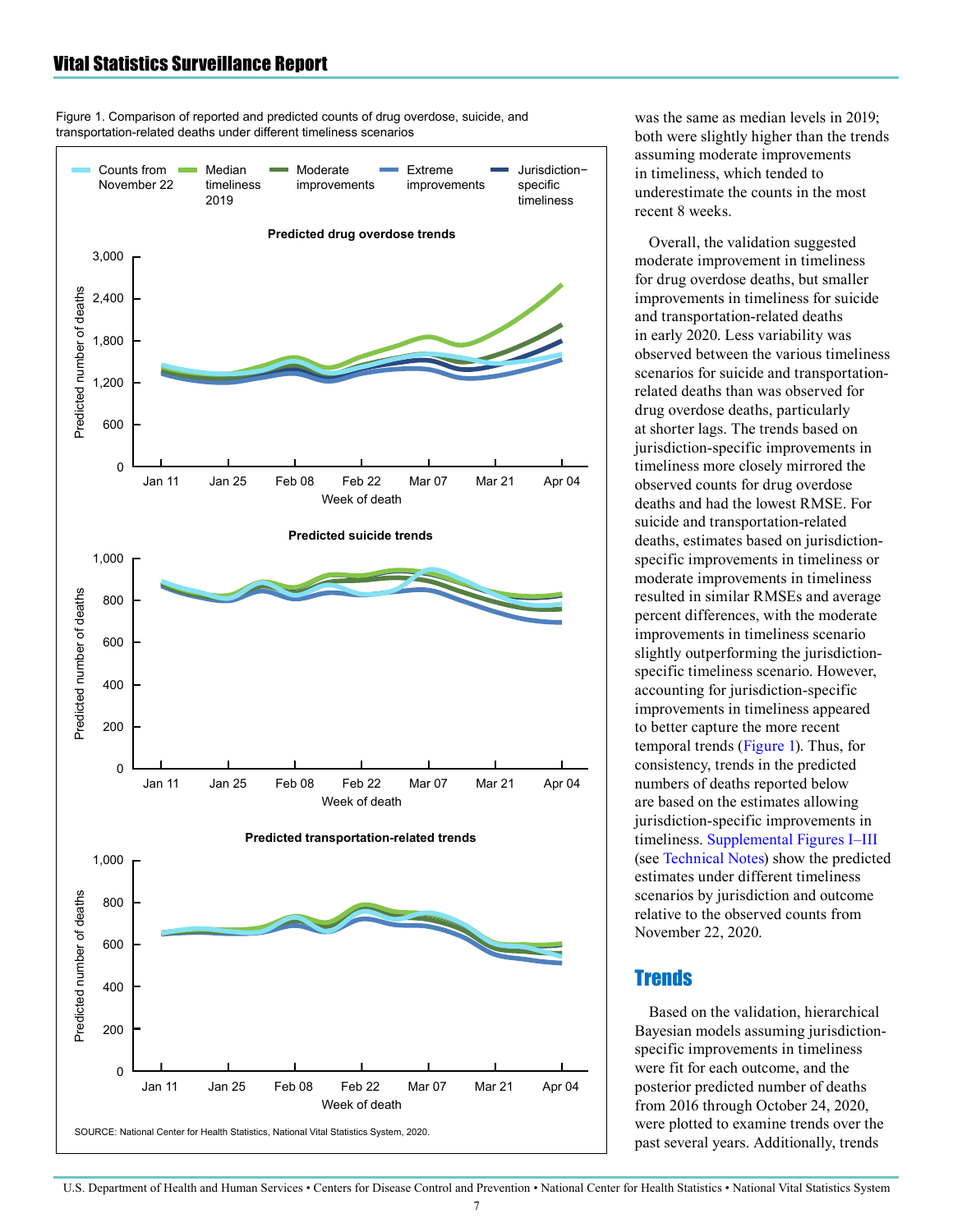<span id="page-6-0"></span>Figure 1. Comparison of reported and predicted counts of drug overdose, suicide, and transportation-related deaths under different timeliness scenarios



was the same as median levels in 2019; both were slightly higher than the trends assuming moderate improvements in timeliness, which tended to underestimate the counts in the most recent 8 weeks.

Overall, the validation suggested moderate improvement in timeliness for drug overdose deaths, but smaller improvements in timeliness for suicide and transportation-related deaths in early 2020. Less variability was observed between the various timeliness scenarios for suicide and transportationrelated deaths than was observed for drug overdose deaths, particularly at shorter lags. The trends based on jurisdiction-specific improvements in timeliness more closely mirrored the observed counts for drug overdose deaths and had the lowest RMSE. For suicide and transportation-related deaths, estimates based on jurisdictionspecific improvements in timeliness or moderate improvements in timeliness resulted in similar RMSEs and average percent differences, with the moderate improvements in timeliness scenario slightly outperforming the jurisdictionspecific timeliness scenario. However, accounting for jurisdiction-specific improvements in timeliness appeared to better capture the more recent temporal trends (Figure 1). Thus, for consistency, trends in the predicted numbers of deaths reported below are based on the estimates allowing jurisdiction-specific improvements in timeliness. [Supplemental Figures I—III](#page-14-0)  (see [Technical Notes\)](#page-13-0) show the predicted estimates under different timeliness scenarios by jurisdiction and outcome relative to the observed counts from November 22, 2020.

# **Trends**

Based on the validation, hierarchical Bayesian models assuming jurisdictionspecific improvements in timeliness were fit for each outcome, and the posterior predicted number of deaths from 2016 through October 24, 2020, were plotted to examine trends over the past several years. Additionally, trends

U.S. Department of Health and Human Services • Centers for Disease Control and Prevention • National Center for Health Statistics • National Vital Statistics System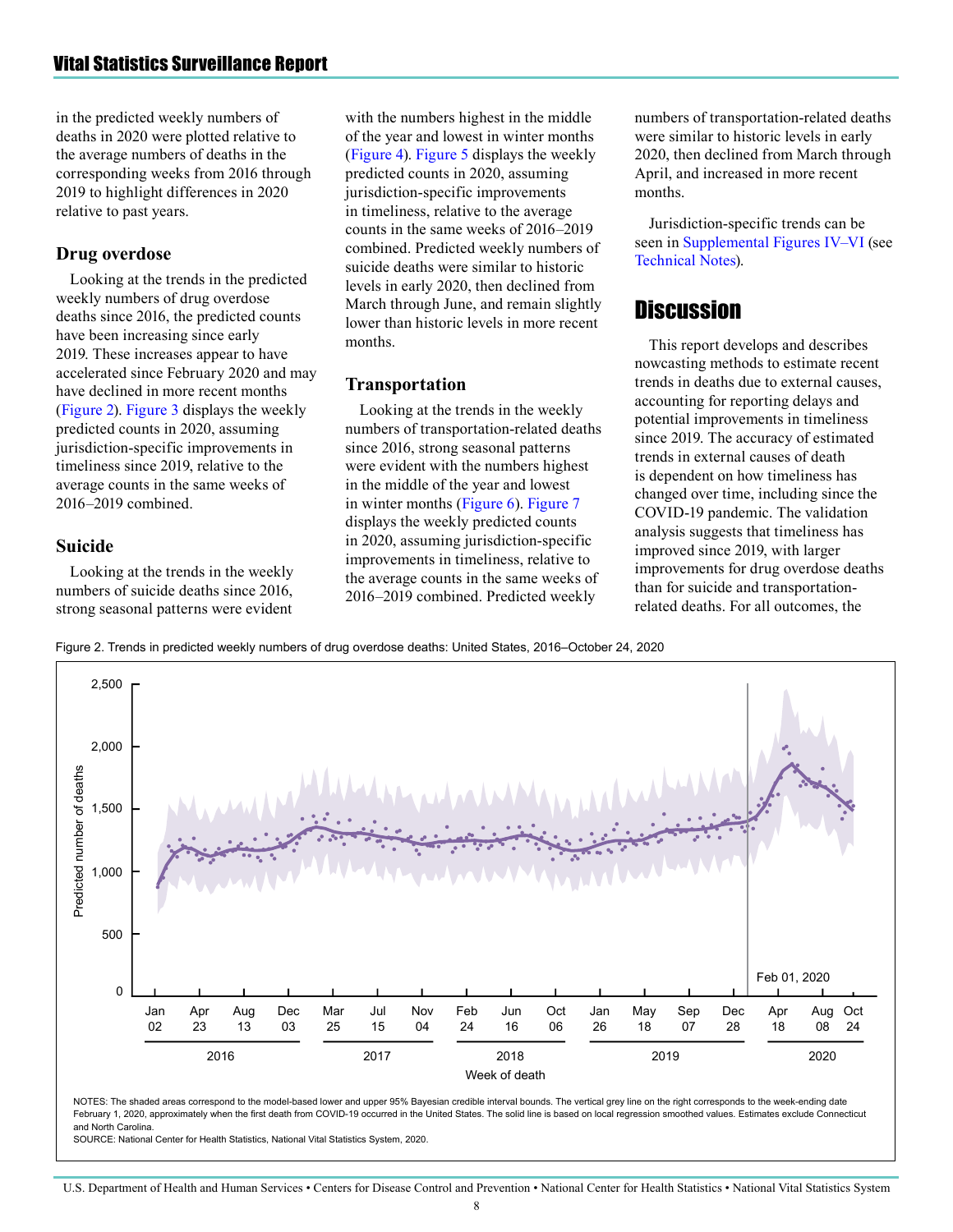in the predicted weekly numbers of deaths in 2020 were plotted relative to the average numbers of deaths in the corresponding weeks from 2016 through 2019 to highlight differences in 2020 relative to past years.

#### **Drug overdose**

Looking at the trends in the predicted weekly numbers of drug overdose deaths since 2016, the predicted counts have been increasing since early 2019. These increases appear to have accelerated since February 2020 and may have declined in more recent months (Figure 2). [Figure 3](#page-8-0) displays the weekly predicted counts in 2020, assuming jurisdiction-specific improvements in timeliness since 2019, relative to the average counts in the same weeks of 2016—2019 combined.

#### **Suicide**

Looking at the trends in the weekly numbers of suicide deaths since 2016, strong seasonal patterns were evident

with the numbers highest in the middle of the year and lowest in winter months [\(Figure 4](#page-8-0)). [Figure 5 d](#page-9-0)isplays the weekly predicted counts in 2020, assuming jurisdiction-specific improvements in timeliness, relative to the average counts in the same weeks of 2016—2019 combined. Predicted weekly numbers of suicide deaths were similar to historic levels in early 2020, then declined from March through June, and remain slightly lower than historic levels in more recent months.

#### **Transportation**

Looking at the trends in the weekly numbers of transportation-related deaths since 2016, strong seasonal patterns were evident with the numbers highest in the middle of the year and lowest in winter months [\(Figure 6\)](#page-9-0). [Figure 7](#page-10-0) displays the weekly predicted counts in 2020, assuming jurisdiction-specific improvements in timeliness, relative to the average counts in the same weeks of 2016—2019 combined. Predicted weekly

numbers of transportation-related deaths were similar to historic levels in early 2020, then declined from March through April, and increased in more recent months.

Jurisdiction-specific trends can be seen i[n Supplemental Figures IV—VI](#page-17-0) (see [Technical Notes\)](#page-13-0).

# **Discussion**

This report develops and describes nowcasting methods to estimate recent trends in deaths due to external causes, accounting for reporting delays and potential improvements in timeliness since 2019. The accuracy of estimated trends in external causes of death is dependent on how timeliness has changed over time, including since the COVID-19 pandemic. The validation analysis suggests that timeliness has improved since 2019, with larger improvements for drug overdose deaths than for suicide and transportationrelated deaths. For all outcomes, the

Figure 2. Trends in predicted weekly numbers of drug overdose deaths: United States, 2016–October 24, 2020



U.S. Department of Health and Human Services • Centers for Disease Control and Prevention • National Center for Health Statistics • National Vital Statistics System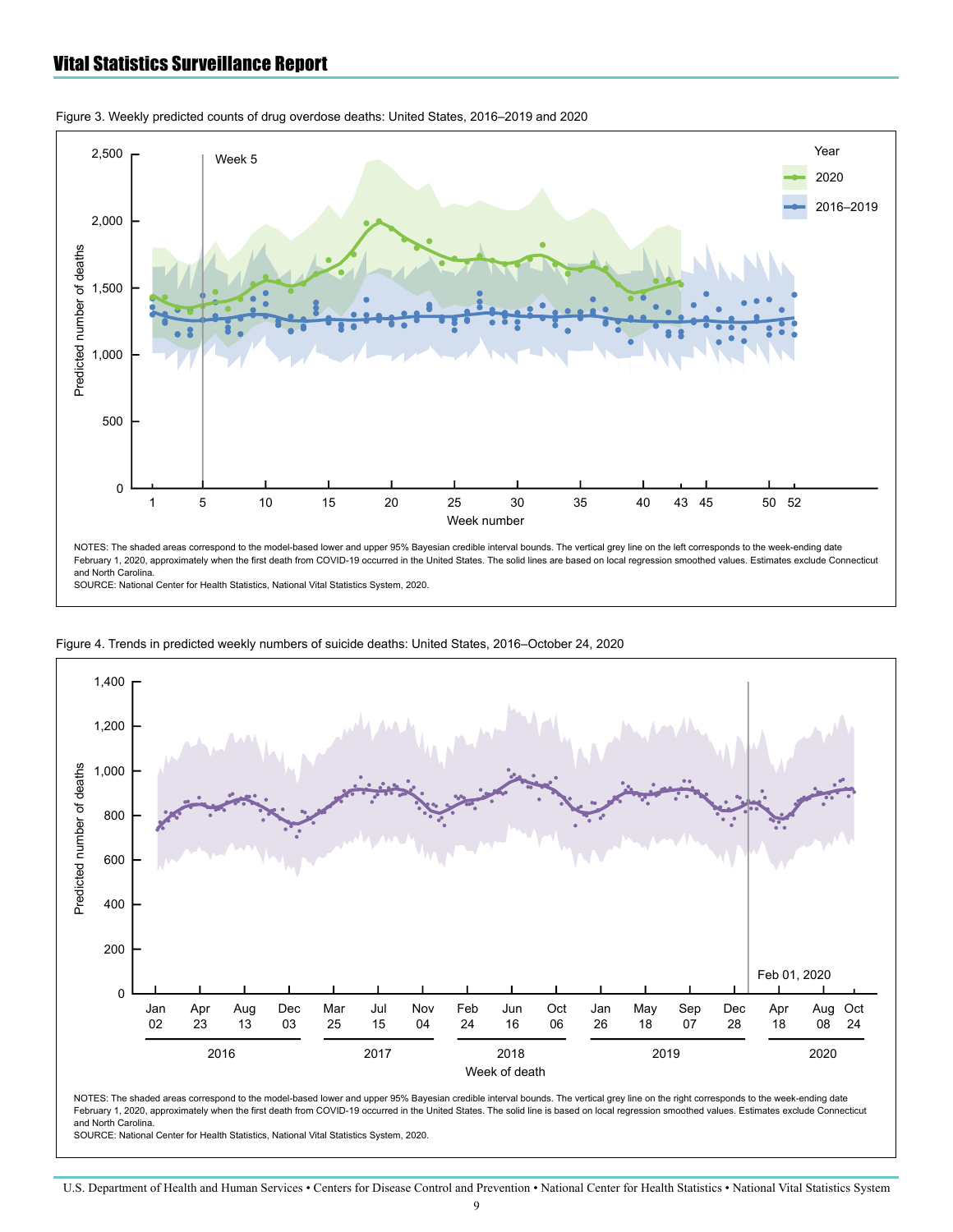

<span id="page-8-0"></span>Figure 3. Weekly predicted counts of drug overdose deaths: United States, 2016–2019 and 2020

SOURCE: National Center for Health Statistics, National Vital Statistics System, 2020.



Figure 4. Trends in predicted weekly numbers of suicide deaths: United States, 2016–October 24, 2020

NOTES: The shaded areas correspond to the model-based lower and upper 95% Bayesian credible interval bounds. The vertical grey line on the right corresponds to the week-ending date February 1, 2020, approximately when the first death from COVID-19 occurred in the United States. The solid line is based on local regression smoothed values. Estimates exclude Connecticut and North Carolina.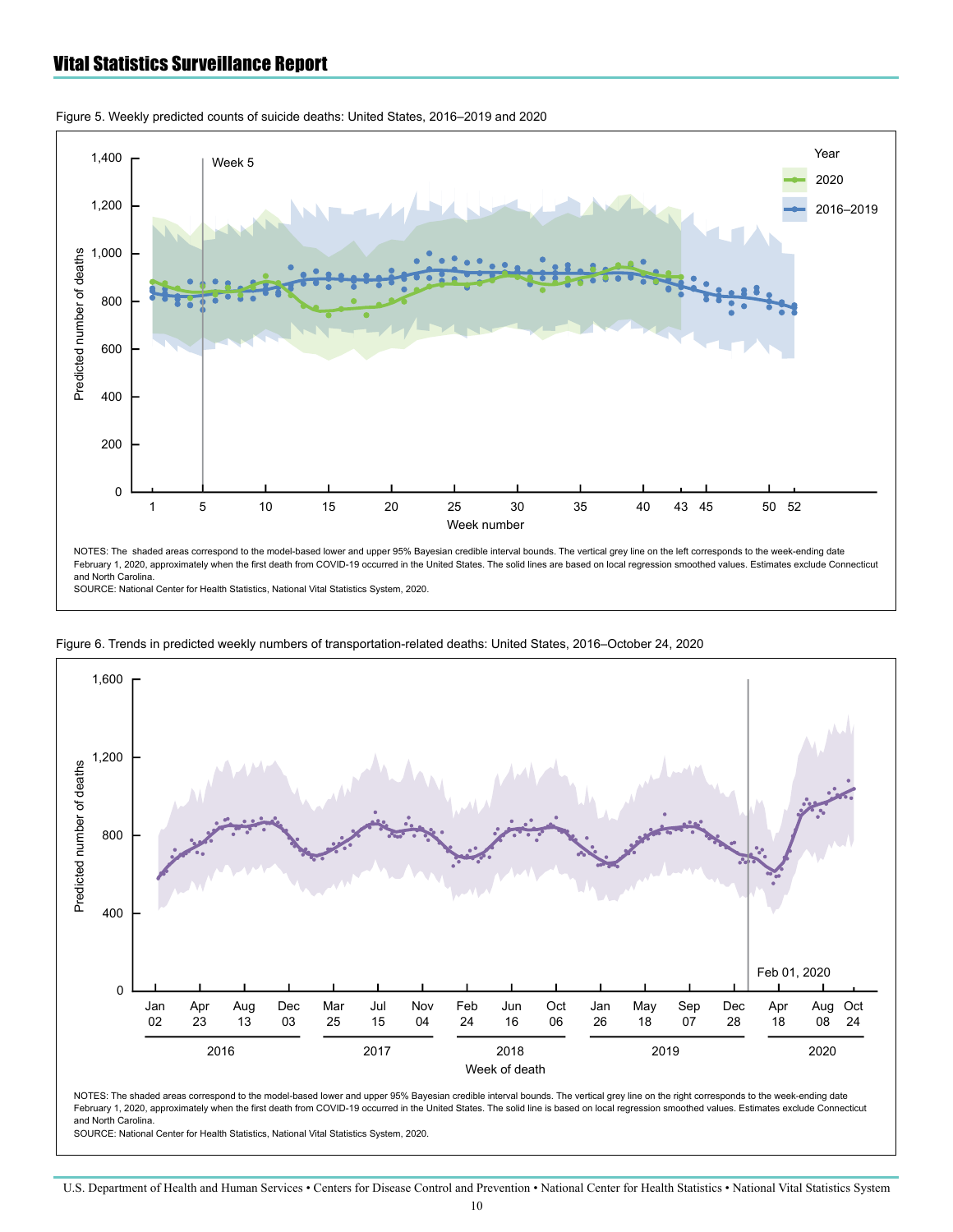

<span id="page-9-0"></span>Figure 5. Weekly predicted counts of suicide deaths: United States, 2016–2019 and 2020

SOURCE: National Center for Health Statistics, National Vital Statistics System, 2020.



Figure 6. Trends in predicted weekly numbers of transportation-related deaths: United States, 2016–October 24, 2020

NOTES: The shaded areas correspond to the model-based lower and upper 95% Bayesian credible interval bounds. The vertical grey line on the right corresponds to the week-ending date February 1, 2020, approximately when the first death from COVID-19 occurred in the United States. The solid line is based on local regression smoothed values. Estimates exclude Connecticut and North Carolina.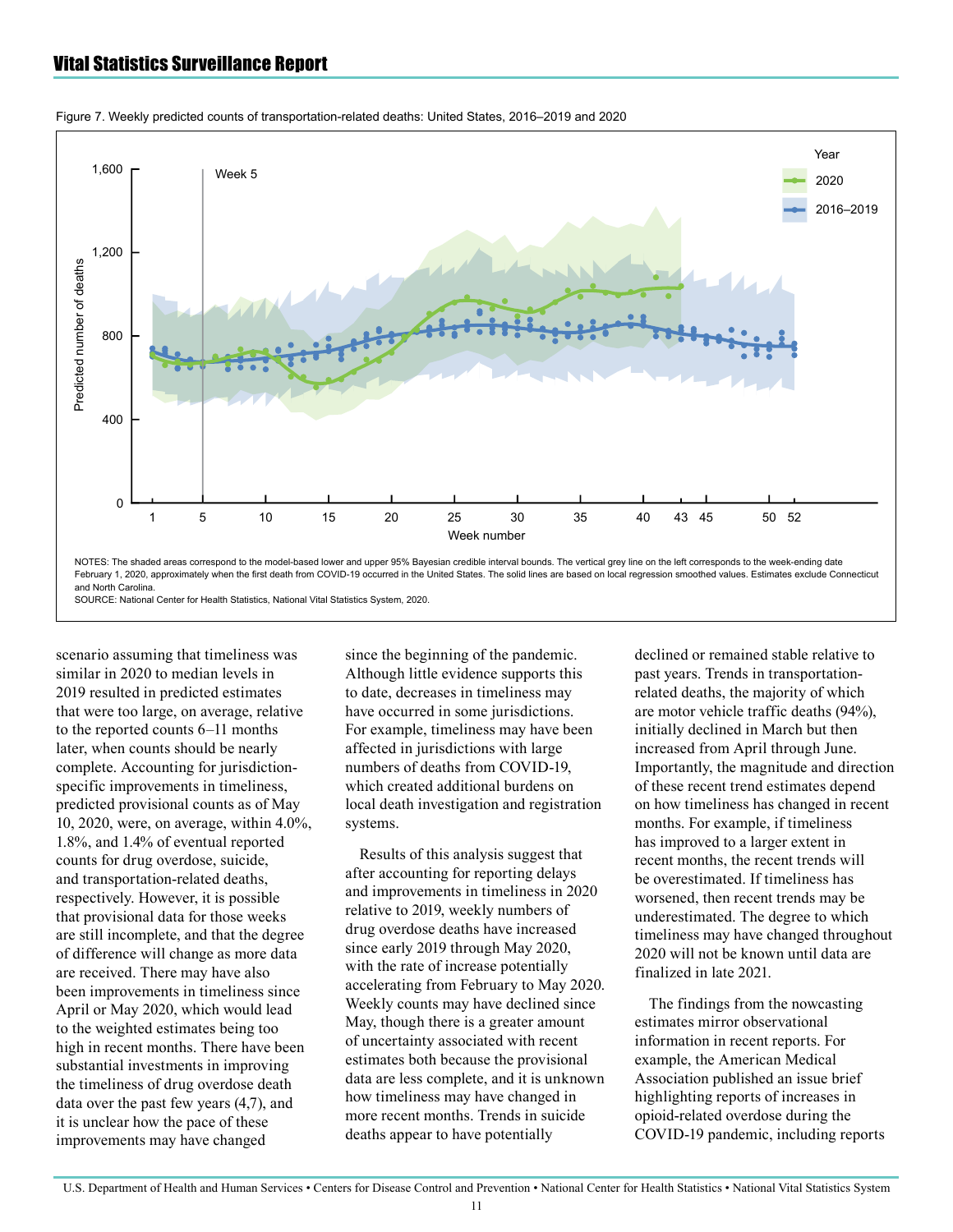

<span id="page-10-0"></span>Figure 7. Weekly predicted counts of transportation-related deaths: United States, 2016–2019 and 2020

scenario assuming that timeliness was similar in 2020 to median levels in 2019 resulted in predicted estimates that were too large, on average, relative to the reported counts 6—11 months later, when counts should be nearly complete. Accounting for jurisdictionspecific improvements in timeliness, predicted provisional counts as of May 10, 2020, were, on average, within 4.0%, 1.8%, and 1.4% of eventual reported counts for drug overdose, suicide, and transportation-related deaths, respectively. However, it is possible that provisional data for those weeks are still incomplete, and that the degree of difference will change as more data are received. There may have also been improvements in timeliness since April or May 2020, which would lead to the weighted estimates being too high in recent months. There have been substantial investments in improving the timeliness of drug overdose death data over the past few years (4,7), and it is unclear how the pace of these improvements may have changed

since the beginning of the pandemic. Although little evidence supports this to date, decreases in timeliness may have occurred in some jurisdictions. For example, timeliness may have been affected in jurisdictions with large numbers of deaths from COVID-19, which created additional burdens on local death investigation and registration systems.

Results of this analysis suggest that after accounting for reporting delays and improvements in timeliness in 2020 relative to 2019, weekly numbers of drug overdose deaths have increased since early 2019 through May 2020, with the rate of increase potentially accelerating from February to May 2020. Weekly counts may have declined since May, though there is a greater amount of uncertainty associated with recent estimates both because the provisional data are less complete, and it is unknown how timeliness may have changed in more recent months. Trends in suicide deaths appear to have potentially

declined or remained stable relative to past years. Trends in transportationrelated deaths, the majority of which are motor vehicle traffic deaths (94%), initially declined in March but then increased from April through June. Importantly, the magnitude and direction of these recent trend estimates depend on how timeliness has changed in recent months. For example, if timeliness has improved to a larger extent in recent months, the recent trends will be overestimated. If timeliness has worsened, then recent trends may be underestimated. The degree to which timeliness may have changed throughout 2020 will not be known until data are finalized in late 2021.

The findings from the nowcasting estimates mirror observational information in recent reports. For example, the American Medical Association published an issue brief highlighting reports of increases in opioid-related overdose during the COVID-19 pandemic, including reports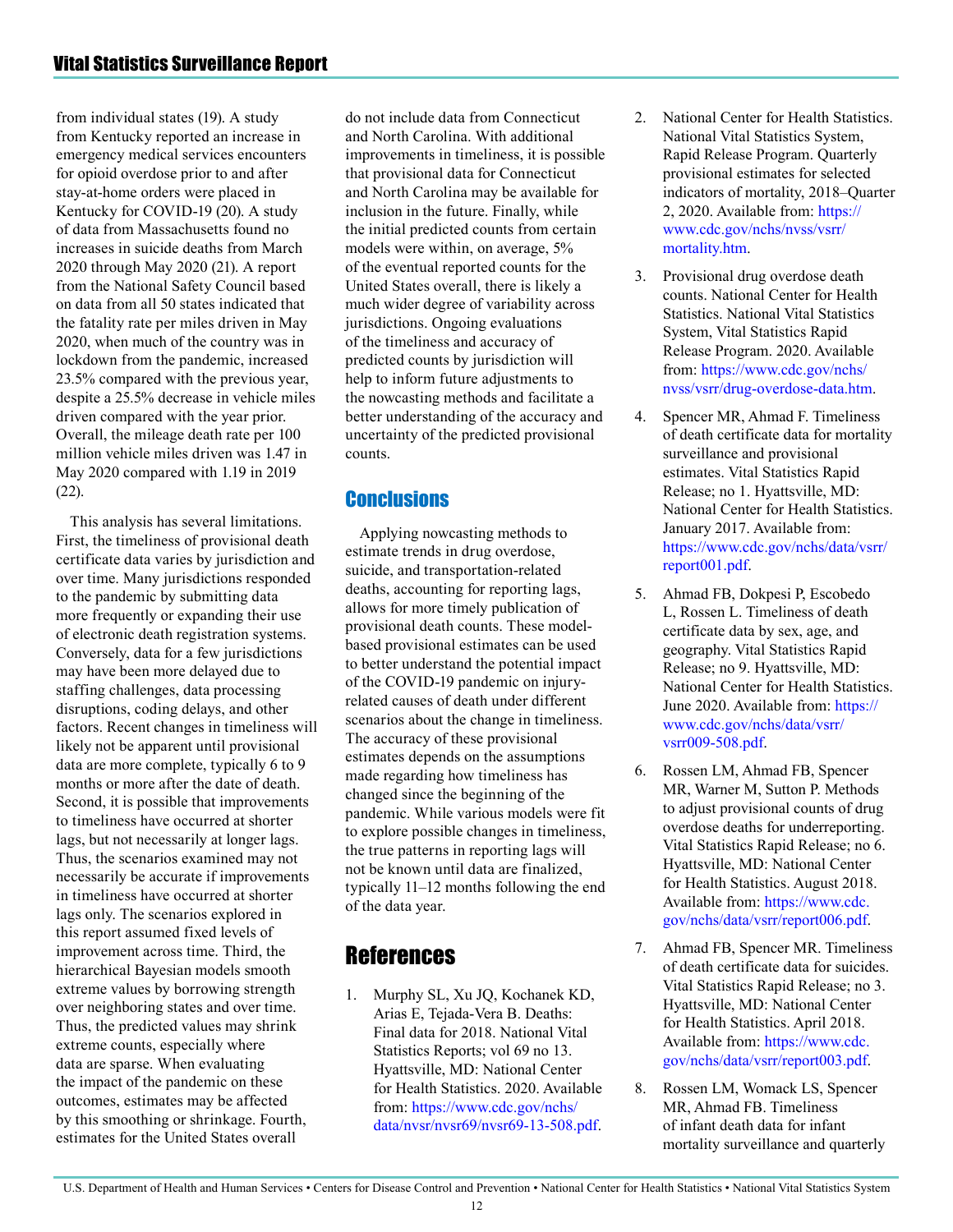from individual states (19). A study from Kentucky reported an increase in emergency medical services encounters for opioid overdose prior to and after stay-at-home orders were placed in Kentucky for COVID-19 (20). A study of data from Massachusetts found no increases in suicide deaths from March 2020 through May 2020 (21). A report from the National Safety Council based on data from all 50 states indicated that the fatality rate per miles driven in May 2020, when much of the country was in lockdown from the pandemic, increased 23.5% compared with the previous year, despite a 25.5% decrease in vehicle miles driven compared with the year prior. Overall, the mileage death rate per 100 million vehicle miles driven was 1.47 in May 2020 compared with 1.19 in 2019 (22).

This analysis has several limitations. First, the timeliness of provisional death certificate data varies by jurisdiction and over time. Many jurisdictions responded to the pandemic by submitting data more frequently or expanding their use of electronic death registration systems. Conversely, data for a few jurisdictions may have been more delayed due to staffing challenges, data processing disruptions, coding delays, and other factors. Recent changes in timeliness will likely not be apparent until provisional data are more complete, typically 6 to 9 months or more after the date of death. Second, it is possible that improvements to timeliness have occurred at shorter lags, but not necessarily at longer lags. Thus, the scenarios examined may not necessarily be accurate if improvements in timeliness have occurred at shorter lags only. The scenarios explored in this report assumed fixed levels of improvement across time. Third, the hierarchical Bayesian models smooth extreme values by borrowing strength over neighboring states and over time. Thus, the predicted values may shrink extreme counts, especially where data are sparse. When evaluating the impact of the pandemic on these outcomes, estimates may be affected by this smoothing or shrinkage. Fourth, estimates for the United States overall

do not include data from Connecticut and North Carolina. With additional improvements in timeliness, it is possible that provisional data for Connecticut and North Carolina may be available for inclusion in the future. Finally, while the initial predicted counts from certain models were within, on average, 5% of the eventual reported counts for the United States overall, there is likely a much wider degree of variability across jurisdictions. Ongoing evaluations of the timeliness and accuracy of predicted counts by jurisdiction will help to inform future adjustments to the nowcasting methods and facilitate a better understanding of the accuracy and uncertainty of the predicted provisional counts.

# **Conclusions**

Applying nowcasting methods to estimate trends in drug overdose, suicide, and transportation-related deaths, accounting for reporting lags, allows for more timely publication of provisional death counts. These modelbased provisional estimates can be used to better understand the potential impact of the COVID-19 pandemic on injuryrelated causes of death under different scenarios about the change in timeliness. The accuracy of these provisional estimates depends on the assumptions made regarding how timeliness has changed since the beginning of the pandemic. While various models were fit to explore possible changes in timeliness, the true patterns in reporting lags will not be known until data are finalized, typically 11—12 months following the end of the data year.

# References

1. Murphy SL, Xu JQ, Kochanek KD, Arias E, Tejada-Vera B. Deaths: Final data for 2018. National Vital Statistics Reports; vol 69 no 13. Hyattsville, MD: National Center for Health Statistics. 2020. Available from: [https://www.cdc.gov/nchs/](https://www.cdc.gov/nchs/data/nvsr/nvsr69/nvsr69-13-508.pdf) [data/nvsr/nvsr69/nvsr69-13-508.pdf](https://www.cdc.gov/nchs/data/nvsr/nvsr69/nvsr69-13-508.pdf).

- 2. National Center for Health Statistics. National Vital Statistics System, Rapid Release Program. Quarterly provisional estimates for selected indicators of mortality, 2018—Quarter 2, 2020. Available from: [https://](https://www.cdc.gov/nchs/nvss/vsrr/mortality.htm) [www.cdc.gov/nchs/nvss/vsrr/](https://www.cdc.gov/nchs/nvss/vsrr/mortality.htm) [mortality.htm](https://www.cdc.gov/nchs/nvss/vsrr/mortality.htm).
- 3. Provisional drug overdose death counts. National Center for Health Statistics. National Vital Statistics System, Vital Statistics Rapid Release Program. 2020. Available from: [https://www.cdc.gov/nchs/](https://www.cdc.gov/nchs/nvss/vsrr/drug-overdose-data.htm) [nvss/vsrr/drug-overdose-data.htm.](https://www.cdc.gov/nchs/nvss/vsrr/drug-overdose-data.htm)
- 4. Spencer MR, Ahmad F. Timeliness of death certificate data for mortality surveillance and provisional estimates. Vital Statistics Rapid Release; no 1. Hyattsville, MD: National Center for Health Statistics. January 2017. Available from: [https://www.cdc.gov/nchs/data/vsrr/](https://www.cdc.gov/nchs/data/vsrr/report001.pdf) [report001.pdf.](https://www.cdc.gov/nchs/data/vsrr/report001.pdf)
- 5. Ahmad FB, Dokpesi P, Escobedo L, Rossen L. Timeliness of death certificate data by sex, age, and geography. Vital Statistics Rapid Release; no 9. Hyattsville, MD: National Center for Health Statistics. June 2020. Available from: [https://](https://www.cdc.gov/nchs/data/vsrr/vsrr009-508.pdf) [www.cdc.gov/nchs/data/vsrr/](https://www.cdc.gov/nchs/data/vsrr/vsrr009-508.pdf) [vsrr009-508.pdf.](https://www.cdc.gov/nchs/data/vsrr/vsrr009-508.pdf)
- 6. Rossen LM, Ahmad FB, Spencer MR, Warner M, Sutton P. Methods to adjust provisional counts of drug overdose deaths for underreporting. Vital Statistics Rapid Release; no 6. Hyattsville, MD: National Center for Health Statistics. August 2018. Available from: [https://www.cdc.](https://www.cdc.gov/nchs/data/vsrr/report006.pdf) [gov/nchs/data/vsrr/report006.pdf](https://www.cdc.gov/nchs/data/vsrr/report006.pdf).
- 7. Ahmad FB, Spencer MR. Timeliness of death certificate data for suicides. Vital Statistics Rapid Release; no 3. Hyattsville, MD: National Center for Health Statistics. April 2018. Available from: [https://www.cdc.](https://www.cdc.gov/nchs/data/vsrr/report003.pdf) [gov/nchs/data/vsrr/report003.pdf](https://www.cdc.gov/nchs/data/vsrr/report003.pdf).
- 8. Rossen LM, Womack LS, Spencer MR, Ahmad FB. Timeliness of infant death data for infant mortality surveillance and quarterly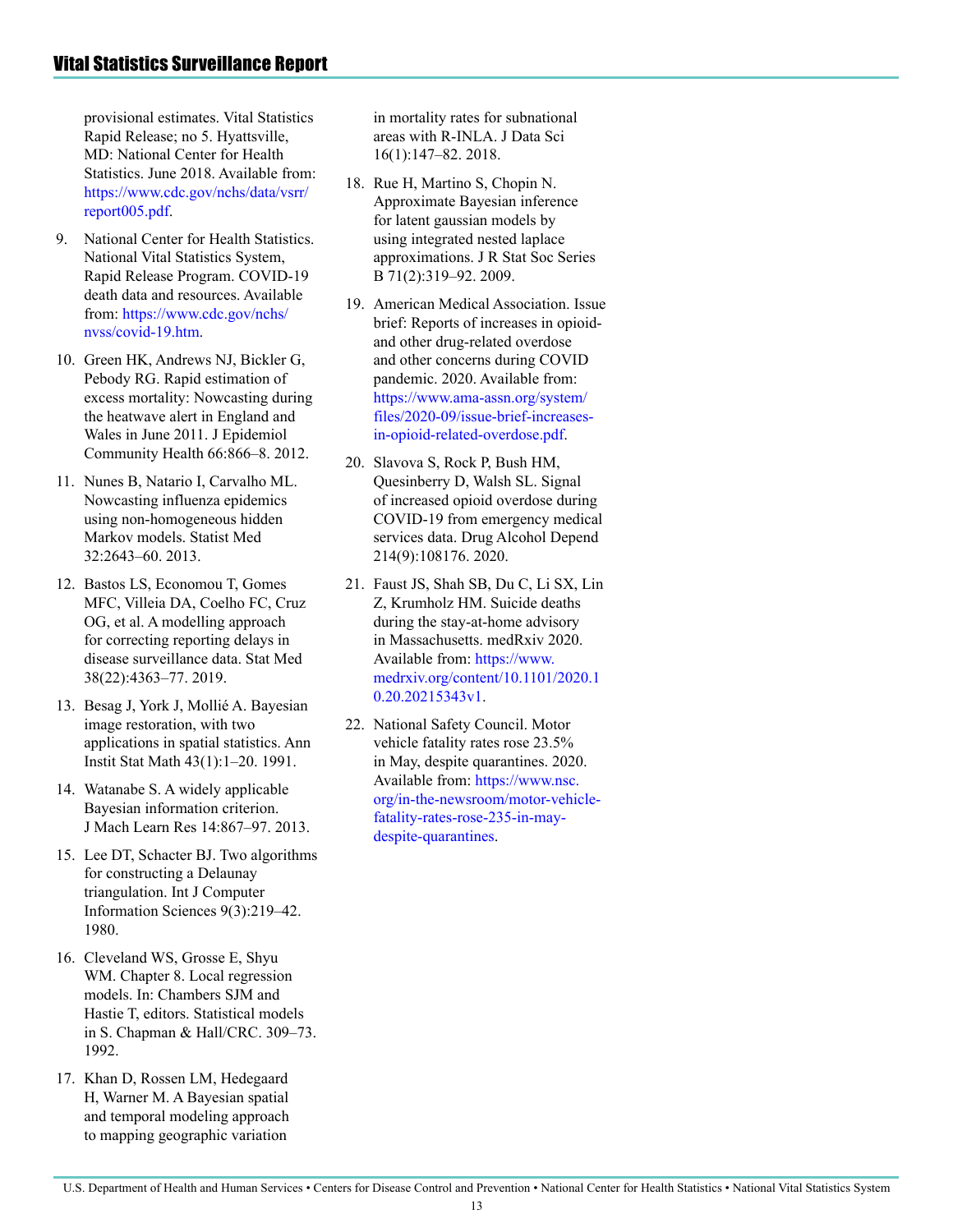provisional estimates. Vital Statistics Rapid Release; no 5. Hyattsville, MD: National Center for Health Statistics. June 2018. Available from: [https://www.cdc.gov/nchs/data/vsrr/](https://www.cdc.gov/nchs/data/vsrr/report005.pdf) [report005.pdf.](https://www.cdc.gov/nchs/data/vsrr/report005.pdf)

- 9. National Center for Health Statistics. National Vital Statistics System, Rapid Release Program. COVID-19 death data and resources. Available from: [https://www.cdc.gov/nchs/](https://www.cdc.gov/nchs/nvss/covid-19.htm) [nvss/covid-19.htm](https://www.cdc.gov/nchs/nvss/covid-19.htm).
- 10. Green HK, Andrews NJ, Bickler G, Pebody RG. Rapid estimation of excess mortality: Nowcasting during the heatwave alert in England and Wales in June 2011. J Epidemiol Community Health 66:866—8. 2012.
- 11. Nunes B, Natario I, Carvalho ML. Nowcasting influenza epidemics using non-homogeneous hidden Markov models. Statist Med 32:2643—60. 2013.
- 12. Bastos LS, Economou T, Gomes MFC, Villeia DA, Coelho FC, Cruz OG, et al. A modelling approach for correcting reporting delays in disease surveillance data. Stat Med 38(22):4363—77. 2019.
- 13. Besag J, York J, Mollié A. Bayesian image restoration, with two applications in spatial statistics. Ann Instit Stat Math 43(1):1—20. 1991.
- 14. Watanabe S. A widely applicable Bayesian information criterion. J Mach Learn Res 14:867—97. 2013.
- 15. Lee DT, Schacter BJ. Two algorithms for constructing a Delaunay triangulation. Int J Computer Information Sciences 9(3):219—42. 1980.
- 16. Cleveland WS, Grosse E, Shyu WM. Chapter 8. Local regression models. In: Chambers SJM and Hastie T, editors. Statistical models in S. Chapman & Hall/CRC. 309—73. 1992.
- 17. Khan D, Rossen LM, Hedegaard H, Warner M. A Bayesian spatial and temporal modeling approach to mapping geographic variation

in mortality rates for subnational areas with R-INLA. J Data Sci 16(1):147—82. 2018.

- 18. Rue H, Martino S, Chopin N. Approximate Bayesian inference for latent gaussian models by using integrated nested laplace approximations. J R Stat Soc Series B 71(2):319—92. 2009.
- 19. American Medical Association. Issue brief: Reports of increases in opioidand other drug-related overdose and other concerns during COVID pandemic. 2020. Available from: [https://www.ama-assn.org/system/](https://www.ama-assn.org/system/files/2020-09/issue-brief-increases-in-opioid-related-overdose.pdf) [files/2020-09/issue-brief-increases](https://www.ama-assn.org/system/files/2020-09/issue-brief-increases-in-opioid-related-overdose.pdf)[in-opioid-related-overdose.pdf](https://www.ama-assn.org/system/files/2020-09/issue-brief-increases-in-opioid-related-overdose.pdf).
- 20. Slavova S, Rock P, Bush HM, Quesinberry D, Walsh SL. Signal of increased opioid overdose during COVID-19 from emergency medical services data. Drug Alcohol Depend 214(9):108176. 2020.
- 21. Faust JS, Shah SB, Du C, Li SX, Lin Z, Krumholz HM. Suicide deaths during the stay-at-home advisory in Massachusetts. medRxiv 2020. Available from: [https://www.](https://www.medrxiv.org/content/10.1101/2020.10.20.20215343v1) [medrxiv.org/content/10.1101/2020.1](https://www.medrxiv.org/content/10.1101/2020.10.20.20215343v1) [0.20.20215343v1](https://www.medrxiv.org/content/10.1101/2020.10.20.20215343v1).
- 22. National Safety Council. Motor vehicle fatality rates rose 23.5% in May, despite quarantines. 2020. Available from: [https://www.nsc.](https://www.nsc.org/in-the-newsroom/motor-vehicle-fatality-rates-rose-235-in-may-despite-quarantines) [org/in-the-newsroom/motor-vehicle](https://www.nsc.org/in-the-newsroom/motor-vehicle-fatality-rates-rose-235-in-may-despite-quarantines)[fatality-rates-rose-235-in-may](https://www.nsc.org/in-the-newsroom/motor-vehicle-fatality-rates-rose-235-in-may-despite-quarantines)[despite-quarantines.](https://www.nsc.org/in-the-newsroom/motor-vehicle-fatality-rates-rose-235-in-may-despite-quarantines)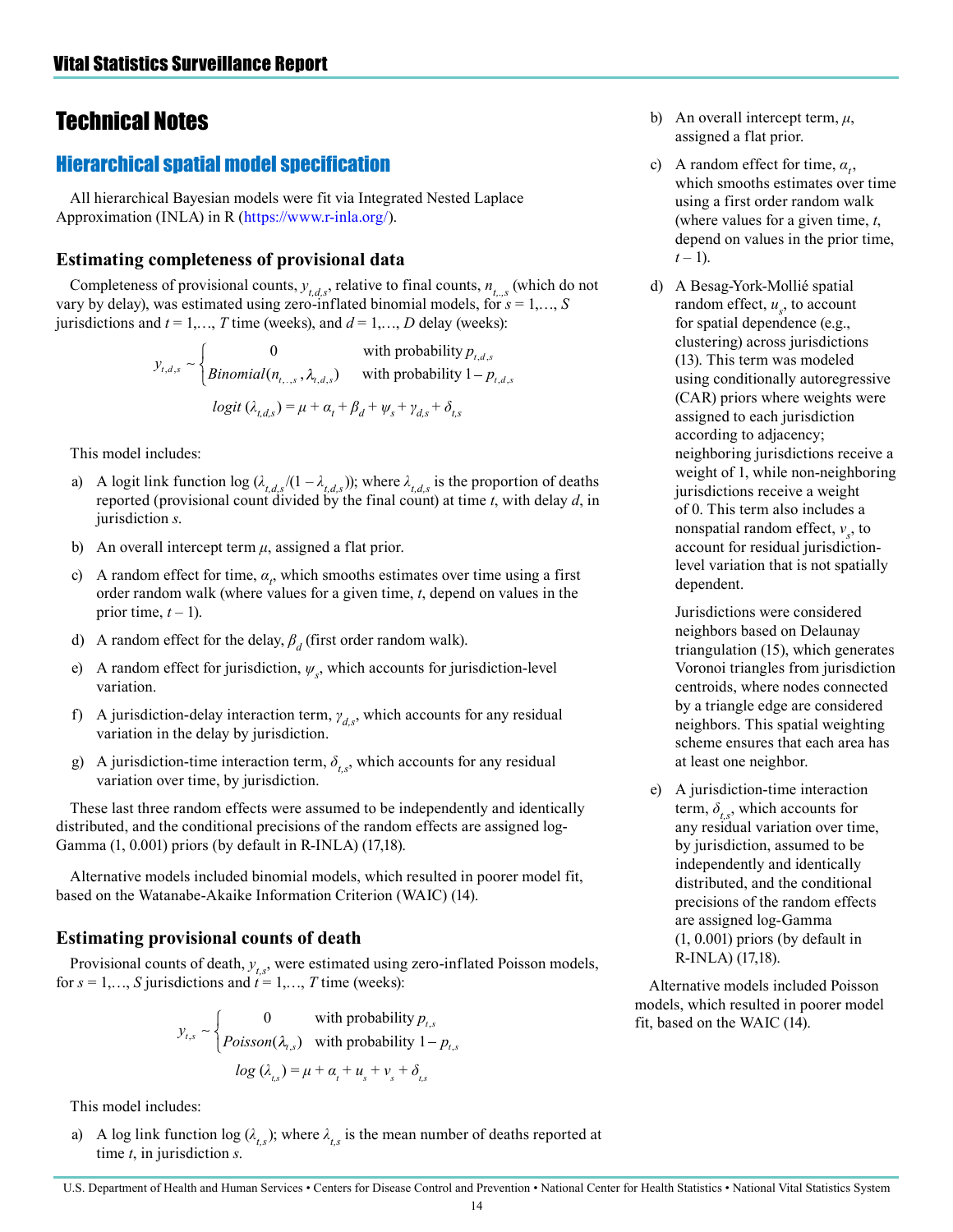# <span id="page-13-0"></span>Technical Notes

# Hierarchical spatial model specification

All hierarchical Bayesian models were fit via Integrated Nested Laplace Approximation (INLA) in R ([https://www.r-inla.org/\)](https://www.r-inla.org/).

### **Estimating completeness of provisional data**

Completeness of provisional counts,  $y_{t,d,s}$ , relative to final counts,  $n_{t,s}$  (which do not vary by delay), was estimated using zero-inflated binomial models, for *s* = 1,…, *S* jurisdictions and  $t = 1,..., T$  time (weeks), and  $d = 1,..., D$  delay (weeks):

$$
y_{t,d,s} \sim \begin{cases} 0 & \text{with probability } p_{t,d,s} \\ \text{Binomial}(n_{t, ., s}, \lambda_{t, d, s}) & \text{with probability } 1 - p_{t, d, s} \\ \text{logit } (\lambda_{t, d, s}) = \mu + \alpha_t + \beta_d + \psi_s + \gamma_{d, s} + \delta_{t, s} \end{cases}
$$

This model includes:

- a) A logit link function log ( $\lambda_{t,d,s}$  /(1  $\lambda_{t,d,s}$ )); where  $\lambda_{t,d,s}$  is the proportion of deaths reported (provisional count divided by the final count) at time *t*, with delay *d*, in jurisdiction *s*.
- b) An overall intercept term *μ*, assigned a flat prior.
- c) A random effect for time,  $\alpha_t$ , which smooths estimates over time using a first order random walk (where values for a given time, *t*, depend on values in the prior time,  $t - 1$ ).
- d) A random effect for the delay,  $\beta_d$  (first order random walk).
- e) A random effect for jurisdiction, *ψ<sup>s</sup>* , which accounts for jurisdiction-level variation.
- f) A jurisdiction-delay interaction term, *γd,s*, which accounts for any residual variation in the delay by jurisdiction.
- g) A jurisdiction-time interaction term,  $\delta_{t,s}$ , which accounts for any residual variation over time, by jurisdiction.

These last three random effects were assumed to be independently and identically distributed, and the conditional precisions of the random effects are assigned log-Gamma (1, 0.001) priors (by default in R-INLA) (17,18).

Alternative models included binomial models, which resulted in poorer model fit, based on the Watanabe-Akaike Information Criterion (WAIC) (14).

# **Estimating provisional counts of death**

Provisional counts of death,  $y_{ts}$ , were estimated using zero-inflated Poisson models, for  $s = 1, \ldots, S$  jurisdictions and  $t = 1, \ldots, T$  time (weeks):

$$
y_{t,s} \sim \begin{cases} 0 & \text{with probability } p_{t,s} \\ Poisson(\lambda_{t,s}) & \text{with probability } 1 - p_{t,s} \\ \log(\lambda_{t,s}) = \mu + \alpha_t + u_s + v_s + \delta_{t,s} \end{cases}
$$

This model includes:

a) A log link function log  $(\lambda_{t,s})$ ; where  $\lambda_{t,s}$  is the mean number of deaths reported at time *t*, in jurisdiction *s*.

- b) An overall intercept term, *μ*, assigned a flat prior.
- c) A random effect for time,  $\alpha_{i}$ , which smooths estimates over time using a first order random walk (where values for a given time, *t*, depend on values in the prior time,  $t-1$ ).
- d) A Besag-York-Mollié spatial random effect,  $u_s$ , to account for spatial dependence (e.g., clustering) across jurisdictions (13). This term was modeled using conditionally autoregressive (CAR) priors where weights were assigned to each jurisdiction according to adjacency; neighboring jurisdictions receive a weight of 1, while non-neighboring jurisdictions receive a weight of 0. This term also includes a nonspatial random effect, *ν<sup>s</sup>* , to account for residual jurisdictionlevel variation that is not spatially dependent.

Jurisdictions were considered neighbors based on Delaunay triangulation (15), which generates Voronoi triangles from jurisdiction centroids, where nodes connected by a triangle edge are considered neighbors. This spatial weighting scheme ensures that each area has at least one neighbor.

e) A jurisdiction-time interaction term,  $\delta$ ,  $\delta$ , which accounts for any residual variation over time, by jurisdiction, assumed to be independently and identically distributed, and the conditional precisions of the random effects are assigned log-Gamma (1, 0.001) priors (by default in R-INLA) (17,18).

Alternative models included Poisson models, which resulted in poorer model fit, based on the WAIC (14).

#### U.S. Department of Health and Human Services • Centers for Disease Control and Prevention • National Center for Health Statistics • National Vital Statistics System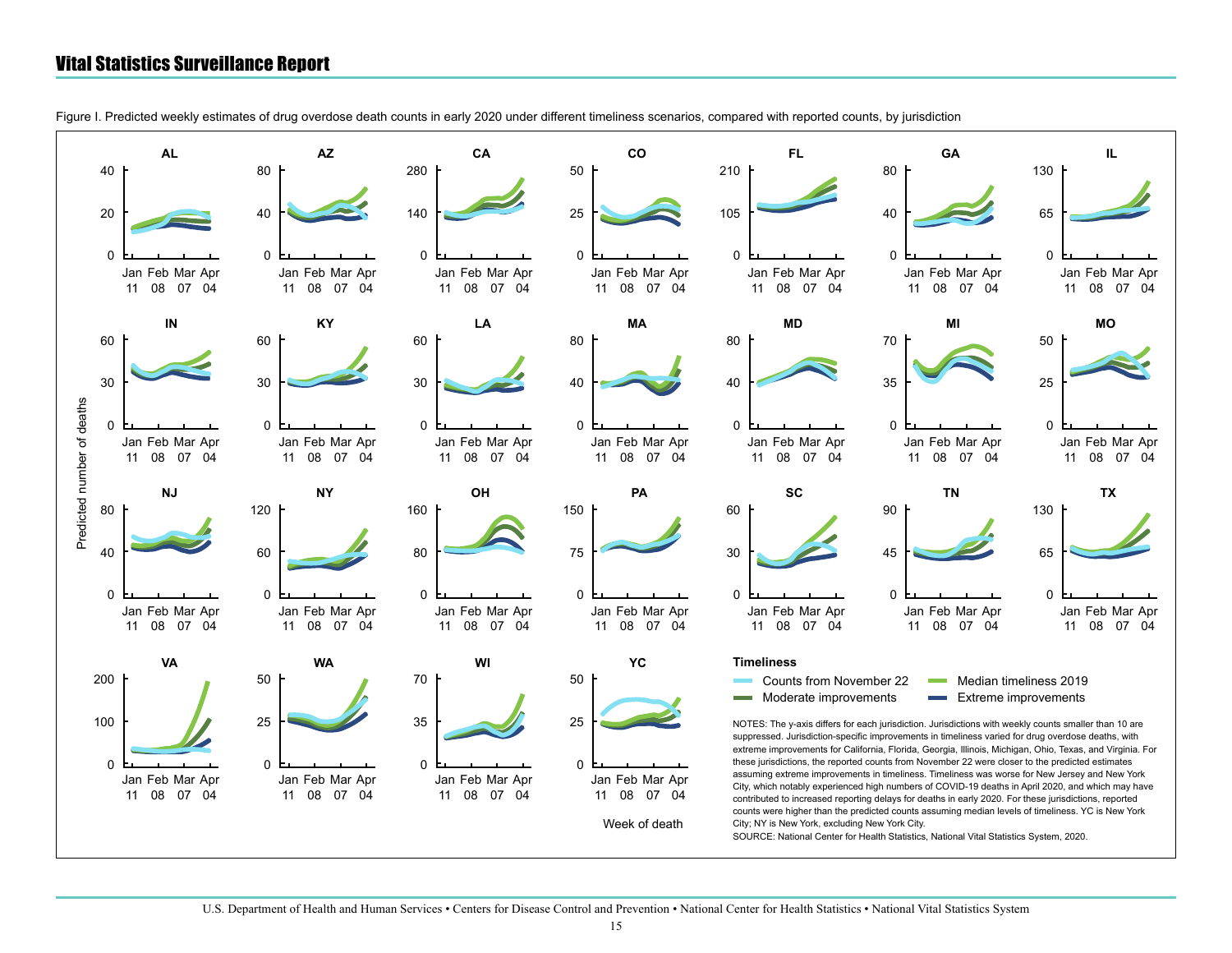<span id="page-14-0"></span>Figure I. Predicted weekly estimates of drug overdose death counts in early 2020 under different timeliness scenarios, compared with reported counts, by jurisdiction

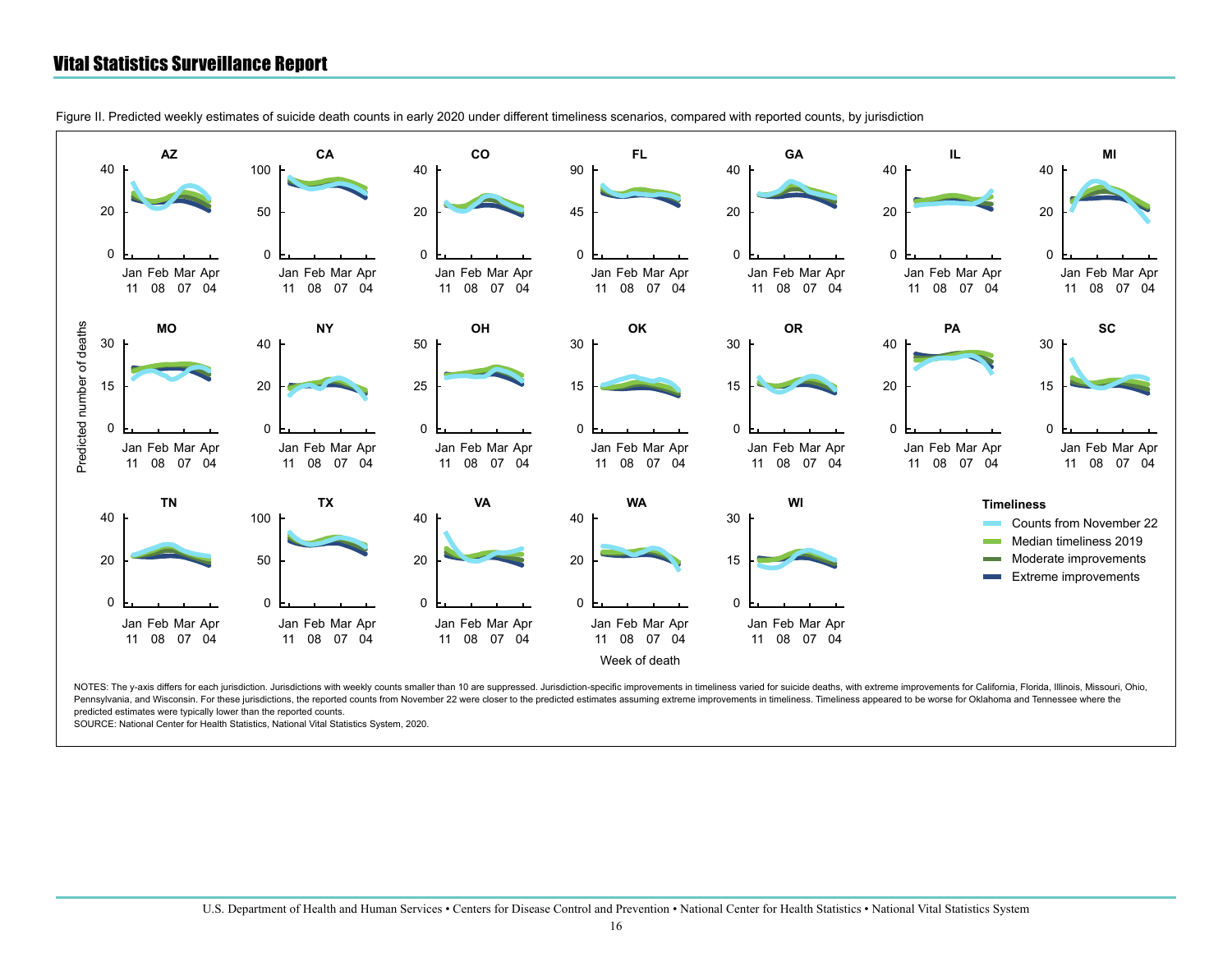

Figure II. Predicted weekly estimates of suicide death counts in early 2020 under different timeliness scenarios, compared with reported counts, by jurisdiction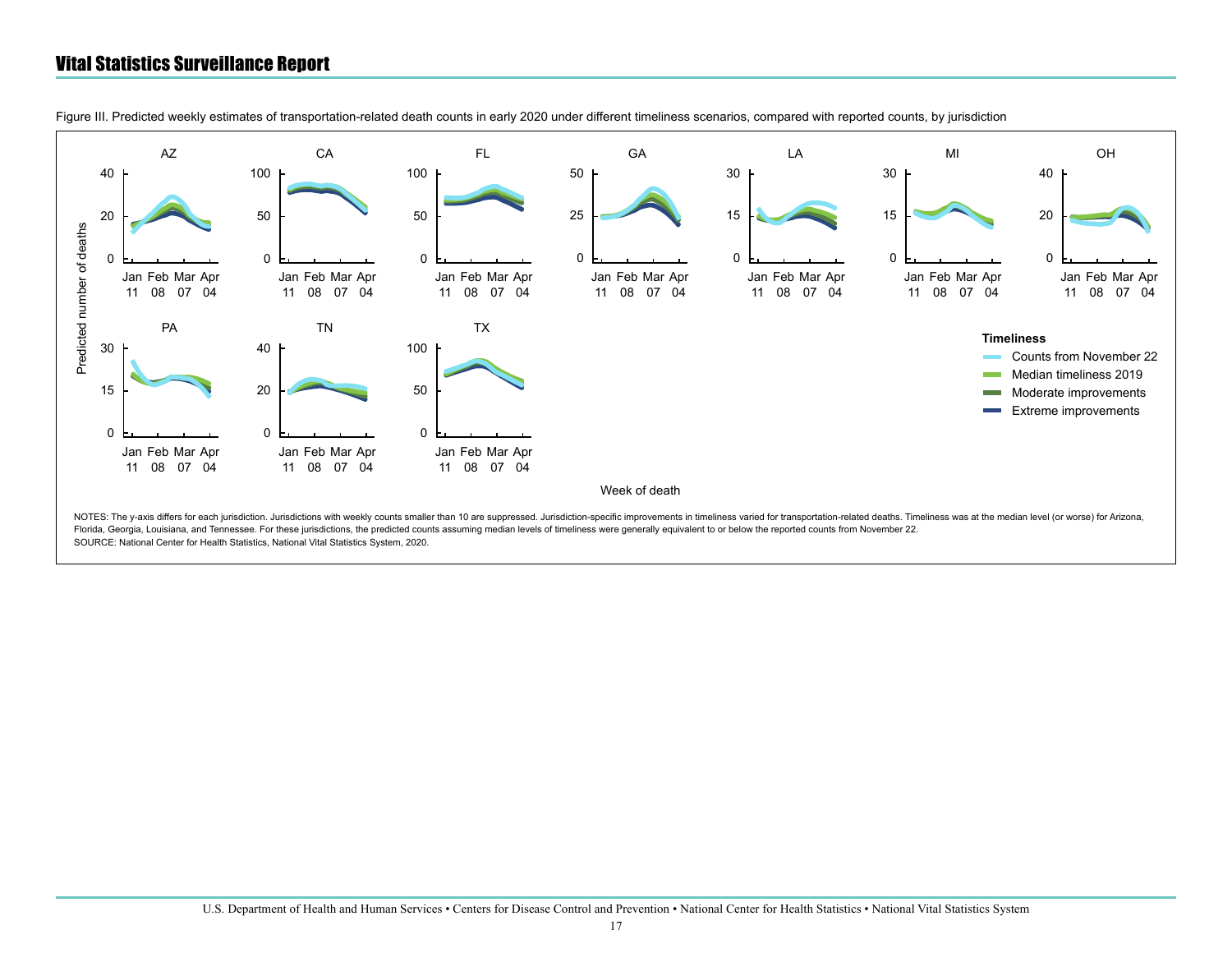

Figure III. Predicted weekly estimates of transportation-related death counts in early 2020 under different timeliness scenarios, compared with reported counts, by jurisdiction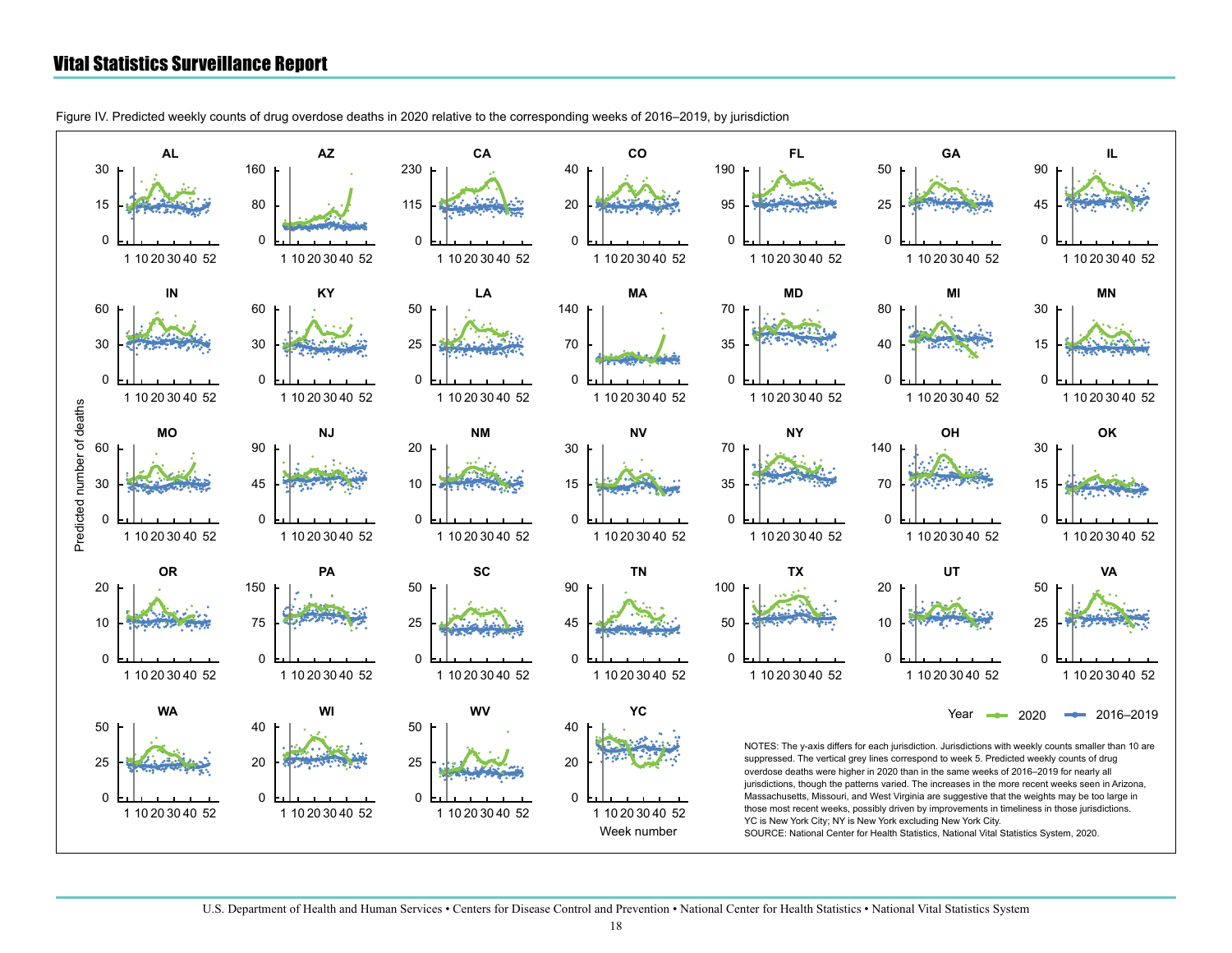<span id="page-17-0"></span>Figure IV. Predicted weekly counts of drug overdose deaths in 2020 relative to the corresponding weeks of 2016–2019, by jurisdiction

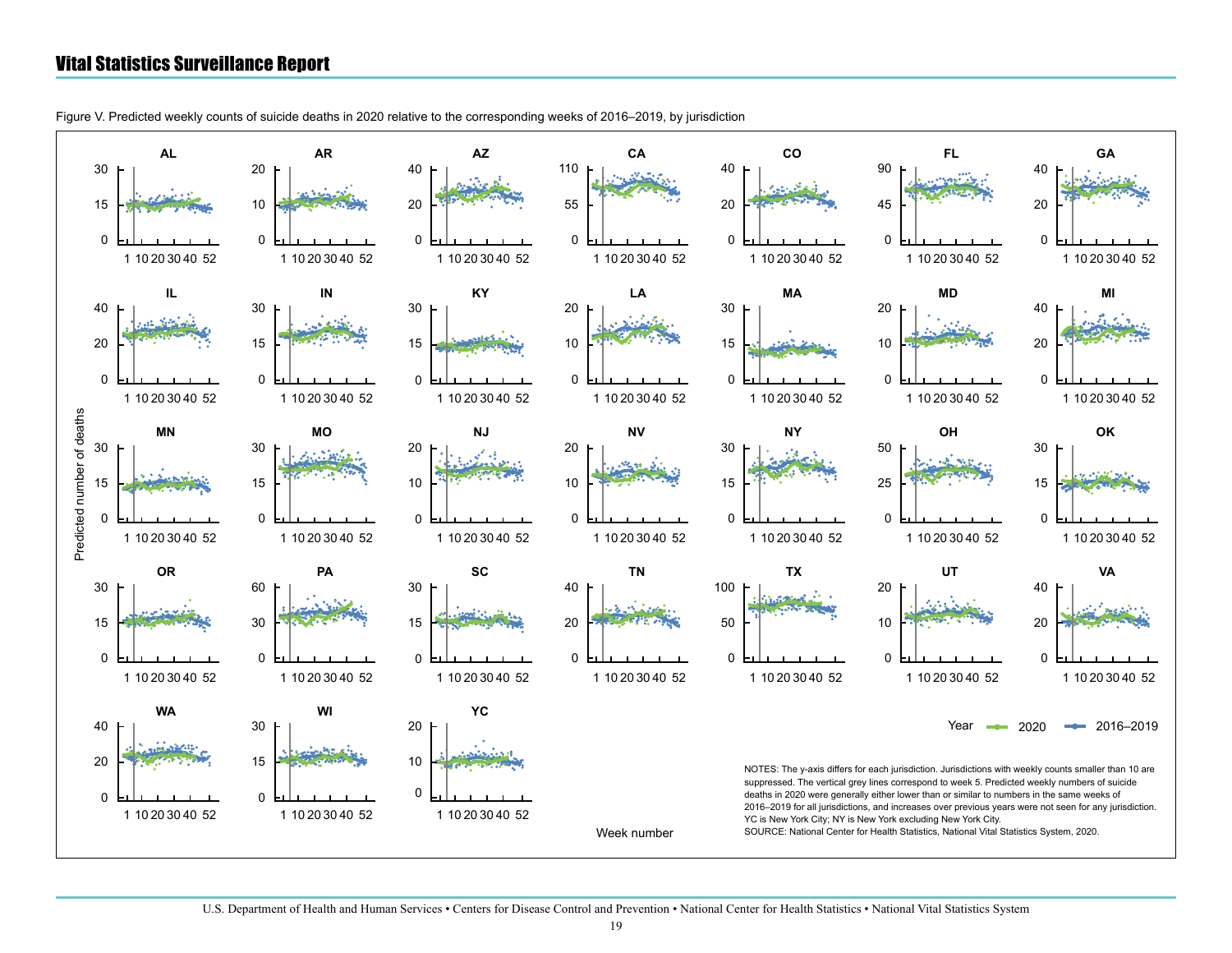Figure V. Predicted weekly counts of suicide deaths in 2020 relative to the corresponding weeks of 2016–2019, by jurisdiction

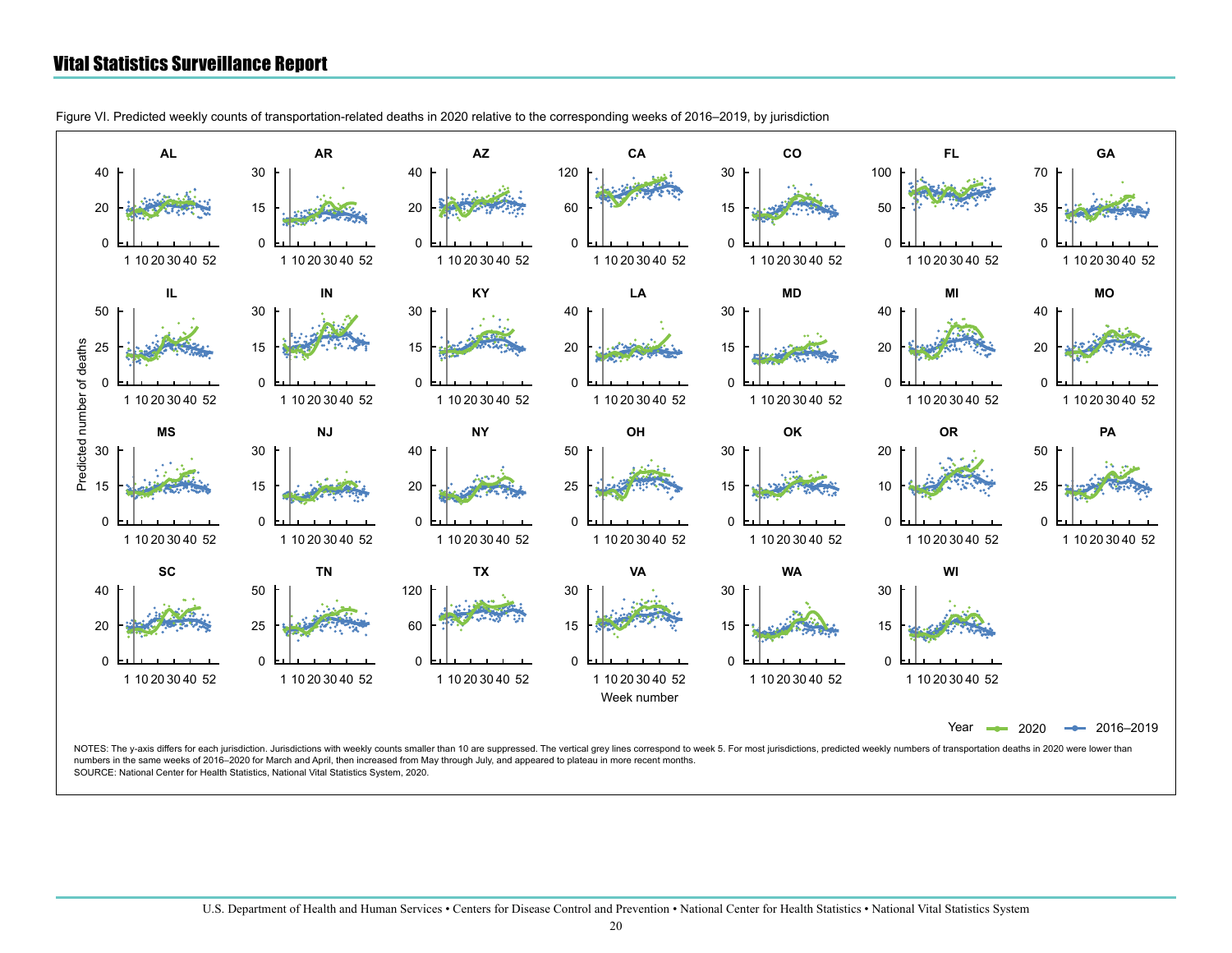